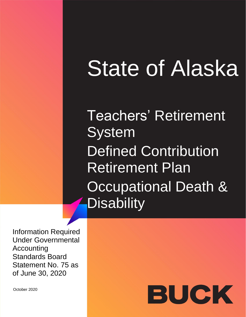# State of Alaska

Teachers' Retirement **System** Defined Contribution Retirement Plan **Occupational Death & Disability** 

Information Required Under Governmental Accounting Standards Board Statement No. 75 as of June 30, 2020

October 2020

# BUCK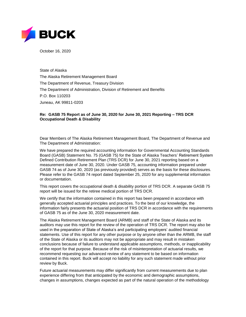

October 16, 2020

State of Alaska The Alaska Retirement Management Board The Department of Revenue, Treasury Division The Department of Administration, Division of Retirement and Benefits P.O. Box 110203 Juneau, AK 99811-0203

#### **Re: GASB 75 Report as of June 30, 2020 for June 30, 2021 Reporting – TRS DCR Occupational Death & Disability**

Dear Members of The Alaska Retirement Management Board, The Department of Revenue and The Department of Administration:

We have prepared the required accounting information for Governmental Accounting Standards Board (GASB) Statement No. 75 (GASB 75) for the State of Alaska Teachers' Retirement System Defined Contribution Retirement Plan (TRS DCR) for June 30, 2021 reporting based on a measurement date of June 30, 2020. Under GASB 75, accounting information prepared under GASB 74 as of June 30, 2020 (as previously provided) serves as the basis for these disclosures. Please refer to the GASB 74 report dated September 25, 2020 for any supplemental information or documentation.

This report covers the occupational death & disability portion of TRS DCR. A separate GASB 75 report will be issued for the retiree medical portion of TRS DCR.

We certify that the information contained in this report has been prepared in accordance with generally accepted actuarial principles and practices. To the best of our knowledge, the information fairly presents the actuarial position of TRS DCR in accordance with the requirements of GASB 75 as of the June 30, 2020 measurement date.

The Alaska Retirement Management Board (ARMB) and staff of the State of Alaska and its auditors may use this report for the review of the operation of TRS DCR. The report may also be used in the preparation of State of Alaska's and participating employers' audited financial statements. Use of this report for any other purpose or by anyone other than the ARMB, the staff of the State of Alaska or its auditors may not be appropriate and may result in mistaken conclusions because of failure to understand applicable assumptions, methods, or inapplicability of the report for that purpose. Because of the risk of misinterpretation of actuarial results, we recommend requesting our advanced review of any statement to be based on information contained in this report. Buck will accept no liability for any such statement made without prior review by Buck.

Future actuarial measurements may differ significantly from current measurements due to plan experience differing from that anticipated by the economic and demographic assumptions, changes in assumptions, changes expected as part of the natural operation of the methodology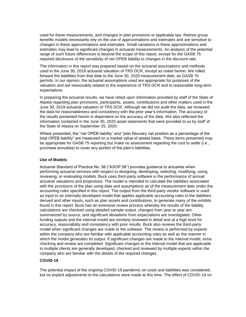used for these measurements, and changes in plan provisions or applicable law. Retiree group benefits models necessarily rely on the use of approximations and estimates and are sensitive to changes in these approximations and estimates. Small variations in these approximations and estimates may lead to significant changes in actuarial measurements. An analysis of the potential range of such future differences is beyond the scope of this report, except for the GASB 75 required disclosure of the sensitivity of net OPEB liability to changes in the discount rate.

The information in this report was prepared based on the actuarial assumptions and methods used in the June 30, 2019 actuarial valuation of TRS DCR, except as noted herein. We rolled forward the liabilities from that date to the June 30, 2020 measurement date, as GASB 75 permits. In our opinion, the actuarial assumptions used are appropriate for purposes of the valuation and are reasonably related to the experience of TRS DCR and to reasonable long-term expectations.

In preparing the actuarial results, we have relied upon information provided by staff of the State of Alaska regarding plan provisions, participants, assets, contributions and other matters used in the June 30, 2019 actuarial valuation of TRS DCR. Although we did not audit the data, we reviewed the data for reasonableness and consistency with the prior year's information. The accuracy of the results presented herein is dependent on the accuracy of the data. We also reflected the information contained in the June 30, 2020 asset statements that were provided to us by staff of the State of Alaska on September 25, 2020.

Where presented, the "net OPEB liability" and "plan fiduciary net position as a percentage of the total OPEB liability" are measured on a market value of assets basis. These items presented may be appropriate for GASB 75 reporting but make no assessment regarding the cost to settle (i.e., purchase annuities) to cover any portion of the plan's liabilities.

#### **Use of Models**

Actuarial Standard of Practice No. 56 ("ASOP 56") provides guidance to actuaries when performing actuarial services with respect to designing, developing, selecting, modifying, using, reviewing, or evaluating models. Buck uses third-party software in the performance of annual actuarial valuations and projections. The model is intended to calculate the liabilities associated with the provisions of the plan using data and assumptions as of the measurement date under the accounting rules specified in this report. The output from the third-party vendor software is used as input to an internally developed model that applies applicable accounting rules to the liabilities derived and other inputs, such as plan assets and contributions, to generate many of the exhibits found in this report. Buck has an extensive review process whereby the results of the liability calculations are checked using detailed sample output, changes from year to year are summarized by source, and significant deviations from expectations are investigated. Other funding outputs and the internal model are similarly reviewed in detail and at a high level for accuracy, reasonability and consistency with prior results. Buck also reviews the third-party model when significant changes are made to the software. The review is performed by experts within the company who are familiar with applicable accounting rules as well as the manner in which the model generates its output. If significant changes are made to the internal model, extra checking and review are completed. Significant changes to the internal model that are applicable to multiple clients are generally developed, checked and reviewed by multiple experts within the company who are familiar with the details of the required changes.

## **COVID-19**

The potential impact of the ongoing COVID-19 pandemic on costs and liabilities was considered, but no explicit adjustments to the calculations were made at this time. The effect of COVID-19 on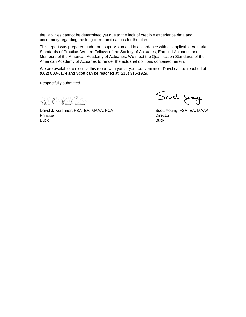the liabilities cannot be determined yet due to the lack of credible experience data and uncertainty regarding the long-term ramifications for the plan.

This report was prepared under our supervision and in accordance with all applicable Actuarial Standards of Practice. We are Fellows of the Society of Actuaries, Enrolled Actuaries and Members of the American Academy of Actuaries. We meet the Qualification Standards of the American Academy of Actuaries to render the actuarial opinions contained herein.

We are available to discuss this report with you at your convenience. David can be reached at (602) 803-6174 and Scott can be reached at (216) 315-1929.

Respectfully submitted,

 $Q \cdot L K Q$ 

David J. Kershner, FSA, EA, MAAA, FCA Scott Young, FSA, EA, MAAA Principal Director Buck Buck

Scott Young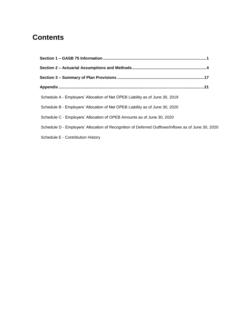# **Contents**

| Schedule A - Employers' Allocation of Net OPEB Liability as of June 30, 2019                       |  |
|----------------------------------------------------------------------------------------------------|--|
| Schedule B - Employers' Allocation of Net OPEB Liability as of June 30, 2020                       |  |
| Schedule C - Employers' Allocation of OPEB Amounts as of June 30, 2020                             |  |
| Schedule D - Employers' Allocation of Recognition of Deferred Outflows/Inflows as of June 30, 2020 |  |
| Schedule E - Contribution History                                                                  |  |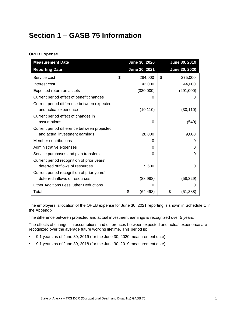# <span id="page-5-0"></span>**Section 1 – GASB 75 Information**

## **OPEB Expense**

| <b>Measurement Date</b>                      | June 30, 2020  | June 30, 2019     |
|----------------------------------------------|----------------|-------------------|
| <b>Reporting Date</b>                        | June 30, 2021  | June 30, 2020     |
| Service cost                                 | \$<br>284,000  | \$<br>275,000     |
| Interest cost                                | 43,000         | 44,000            |
| Expected return on assets                    | (330,000)      | (291,000)         |
| Current period effect of benefit changes     | $\mathbf{0}$   | $\mathbf{\Omega}$ |
| Current period difference between expected   |                |                   |
| and actual experience                        | (10, 110)      | (30, 110)         |
| Current period effect of changes in          |                |                   |
| assumptions                                  | 0              | (549)             |
| Current period difference between projected  |                |                   |
| and actual investment earnings               | 28,000         | 9,600             |
| Member contributions                         | O              | 0                 |
| Administrative expenses                      | 0              | O                 |
| Service purchases and plan transfers         | 0              | 0                 |
| Current period recognition of prior years'   |                |                   |
| deferred outflows of resources               | 9,600          | 0                 |
| Current period recognition of prior years'   |                |                   |
| deferred inflows of resources                | (88,988)       | (58, 329)         |
| <b>Other Additions Less Other Deductions</b> | O              |                   |
| Total                                        | \$<br>(64,498) | \$<br>(51, 388)   |

The employers' allocation of the OPEB expense for June 30, 2021 reporting is shown in Schedule C in the Appendix.

The difference between projected and actual investment earnings is recognized over 5 years.

The effects of changes in assumptions and differences between expected and actual experience are recognized over the average future working lifetime. This period is:

- 9.1 years as of June 30, 2019 (for the June 30, 2020 measurement date)
- 9.1 years as of June 30, 2018 (for the June 30, 2019 measurement date)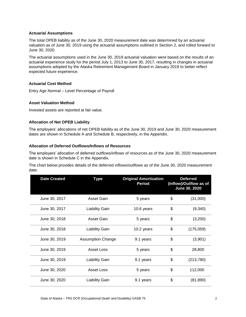#### **Actuarial Assumptions**

The total OPEB liability as of the June 30, 2020 measurement date was determined by an actuarial valuation as of June 30, 2019 using the actuarial assumptions outlined in Section 2, and rolled forward to June 30, 2020.

The actuarial assumptions used in the June 30, 2019 actuarial valuation were based on the results of an actuarial experience study for the period July 1, 2013 to June 30, 2017, resulting in changes in actuarial assumptions adopted by the Alaska Retirement Management Board in January 2019 to better reflect expected future experience.

#### **Actuarial Cost Method**

Entry Age Normal – Level Percentage of Payroll

#### **Asset Valuation Method**

Invested assets are reported at fair value.

#### **Allocation of Net OPEB Liability**

The employers' allocations of net OPEB liability as of the June 30, 2019 and June 30, 2020 measurement dates are shown in Schedule A and Schedule B, respectively, in the Appendix.

#### **Allocation of Deferred Outflows/Inflows of Resources**

The employers' allocation of deferred outflows/inflows of resources as of the June 30, 2020 measurement date is shown in Schedule C in the Appendix.

The chart below provides details of the deferred inflows/outflows as of the June 30, 2020 measurement date:

| <b>Date Created</b> | <b>Type</b>              | <b>Original Amortization</b><br><b>Period</b> | <b>Deferred</b><br>(Inflow)/Outflow as of<br><b>June 30, 2020</b> |
|---------------------|--------------------------|-----------------------------------------------|-------------------------------------------------------------------|
| June 30, 2017       | Asset Gain               | 5 years                                       | \$<br>(31,000)                                                    |
| June 30, 2017       | <b>Liability Gain</b>    | 10.6 years                                    | \$<br>(9,340)                                                     |
| June 30, 2018       | Asset Gain               | 5 years                                       | \$<br>(3,200)                                                     |
| June 30, 2018       | <b>Liability Gain</b>    | 10.2 years                                    | \$<br>(175, 059)                                                  |
| June 30, 2019       | <b>Assumption Change</b> | 9.1 years                                     | \$<br>(3,901)                                                     |
| June 30, 2019       | Asset Loss               | 5 years                                       | \$<br>28,800                                                      |
| June 30, 2019       | <b>Liability Gain</b>    | 9.1 years                                     | \$<br>(213, 780)                                                  |
| June 30, 2020       | <b>Asset Loss</b>        | 5 years                                       | \$<br>112,000                                                     |
| June 30, 2020       | <b>Liability Gain</b>    | 9.1 years                                     | \$<br>(81, 890)                                                   |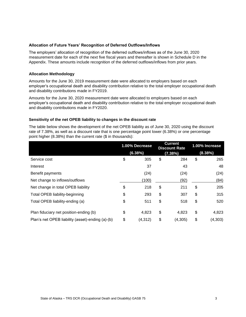#### **Allocation of Future Years' Recognition of Deferred Outflows/Inflows**

The employers' allocation of recognition of the deferred outflows/inflows as of the June 30, 2020 measurement date for each of the next five fiscal years and thereafter is shown in Schedule D in the Appendix. These amounts include recognition of the deferred outflows/inflows from prior years.

#### **Allocation Methodology**

Amounts for the June 30, 2019 measurement date were allocated to employers based on each employer's occupational death and disability contribution relative to the total employer occupational death and disability contributions made in FY2019.

Amounts for the June 30, 2020 measurement date were allocated to employers based on each employer's occupational death and disability contribution relative to the total employer occupational death and disability contributions made in FY2020.

#### **Sensitivity of the net OPEB liability to changes in the discount rate**

The table below shows the development of the net OPEB liability as of June 30, 2020 using the discount rate of 7.38%, as well as a discount rate that is one percentage point lower (6.38%) or one percentage point higher (8.38%) than the current rate (\$ in thousands):

|                                                  | 1.00% Decrease | <b>Current</b><br><b>Discount Rate</b> | 1.00% Increase |
|--------------------------------------------------|----------------|----------------------------------------|----------------|
|                                                  | (6.38%)        | (7.38%)                                | (8.38%)        |
| Service cost                                     | \$<br>305      | \$<br>284                              | \$<br>265      |
| Interest                                         | 37             | 43                                     | 48             |
| Benefit payments                                 | (24)           | (24)                                   | (24)           |
| Net change to inflows/outflows                   | (100)          | (92)                                   | (84)           |
| Net change in total OPEB liability               | \$<br>218      | \$<br>211                              | \$<br>205      |
| <b>Total OPEB liability-beginning</b>            | \$<br>293      | \$<br>307                              | \$<br>315      |
| Total OPEB liability-ending (a)                  | \$<br>511      | \$<br>518                              | \$<br>520      |
| Plan fiduciary net position-ending (b)           | \$<br>4,823    | \$<br>4,823                            | \$<br>4,823    |
| Plan's net OPEB liability (asset)-ending (a)-(b) | \$<br>(4, 312) | \$<br>(4, 305)                         | \$<br>(4,303)  |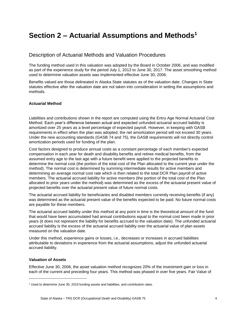# <span id="page-8-0"></span>**Section 2 – Actuarial Assumptions and Methods<sup>1</sup>**

# Description of Actuarial Methods and Valuation Procedures

The funding method used in this valuation was adopted by the Board in October 2006, and was modified as part of the experience study for the period July 1, 2013 to June 30, 2017. The asset smoothing method used to determine valuation assets was implemented effective June 30, 2006.

Benefits valued are those delineated in Alaska State statutes as of the valuation date. Changes in State statutes effective after the valuation date are not taken into consideration in setting the assumptions and methods.

## **Actuarial Method**

Liabilities and contributions shown in the report are computed using the Entry Age Normal Actuarial Cost Method. Each year's difference between actual and expected unfunded actuarial accrued liability is amortized over 25 years as a level percentage of expected payroll. However, in keeping with GASB requirements in effect when the plan was adopted, the net amortization period will not exceed 30 years. Under the new accounting standards (GASB 74 and 75), the GASB requirements will not directly control amortization periods used for funding of the plan.

Cost factors designed to produce annual costs as a constant percentage of each member's expected compensation in each year for death and disability benefits and retiree medical benefits, from the assumed entry age to the last age with a future benefit were applied to the projected benefits to determine the normal cost (the portion of the total cost of the Plan allocated to the current year under the method). The normal cost is determined by summing intermediate results for active members and determining an average normal cost rate which is then related to the total DCR Plan payroll of active members. The actuarial accrued liability for active members (the portion of the total cost of the Plan allocated to prior years under the method) was determined as the excess of the actuarial present value of projected benefits over the actuarial present value of future normal costs.

The actuarial accrued liability for beneficiaries and disabled members currently receiving benefits (if any) was determined as the actuarial present value of the benefits expected to be paid. No future normal costs are payable for these members.

The actuarial accrued liability under this method at any point in time is the theoretical amount of the fund that would have been accumulated had annual contributions equal to the normal cost been made in prior years (it does not represent the liability for benefits accrued to the valuation date). The unfunded actuarial accrued liability is the excess of the actuarial accrued liability over the actuarial value of plan assets measured on the valuation date.

Under this method, experience gains or losses, i.e., decreases or increases in accrued liabilities attributable to deviations in experience from the actuarial assumptions, adjust the unfunded actuarial accrued liability.

#### **Valuation of Assets**

l

Effective June 30, 2006, the asset valuation method recognizes 20% of the investment gain or loss in each of the current and preceding four years. This method was phased in over five years. Fair Value of

<sup>&</sup>lt;sup>1</sup> Used to determine June 30, 2019 funding assets and liabilities, and contribution rates.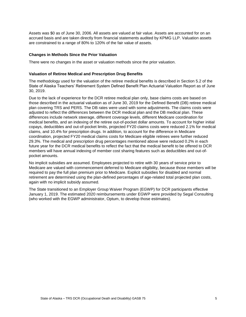Assets was \$0 as of June 30, 2006. All assets are valued at fair value. Assets are accounted for on an accrued basis and are taken directly from financial statements audited by KPMG LLP. Valuation assets are constrained to a range of 80% to 120% of the fair value of assets.

#### **Changes in Methods Since the Prior Valuation**

There were no changes in the asset or valuation methods since the prior valuation.

#### **Valuation of Retiree Medical and Prescription Drug Benefits**

The methodology used for the valuation of the retiree medical benefits is described in Section 5.2 of the State of Alaska Teachers' Retirement System Defined Benefit Plan Actuarial Valuation Report as of June 30, 2019.

Due to the lack of experience for the DCR retiree medical plan only, base claims costs are based on those described in the actuarial valuation as of June 30, 2019 for the Defined Benefit (DB) retiree medical plan covering TRS and PERS. The DB rates were used with some adjustments. The claims costs were adjusted to reflect the differences between the DCR medical plan and the DB medical plan. These differences include network steerage, different coverage levels, different Medicare coordination for medical benefits, and an indexing of the retiree out-of-pocket dollar amounts. To account for higher initial copays, deductibles and out-of-pocket limits, projected FY20 claims costs were reduced 2.1% for medical claims, and 10.4% for prescription drugs. In addition, to account for the difference in Medicare coordination, projected FY20 medical claims costs for Medicare eligible retirees were further reduced 29.3%. The medical and prescription drug percentages mentioned above were reduced 0.2% in each future year for the DCR medical benefits to reflect the fact that the medical benefit to be offered to DCR members will have annual indexing of member cost sharing features such as deductibles and out-ofpocket amounts.

No implicit subsidies are assumed. Employees projected to retire with 30 years of service prior to Medicare are valued with commencement deferred to Medicare eligibility, because those members will be required to pay the full plan premium prior to Medicare. Explicit subsidies for disabled and normal retirement are determined using the plan-defined percentages of age-related total projected plan costs, again with no implicit subsidy assumed.

The State transitioned to an Employer Group Waiver Program (EGWP) for DCR participants effective January 1, 2019. The estimated 2020 reimbursements under EGWP were provided by Segal Consulting (who worked with the EGWP administrator, Optum, to develop those estimates).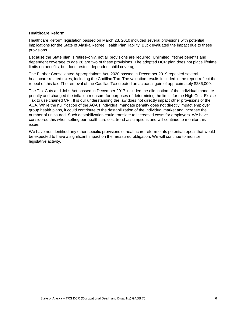#### **Healthcare Reform**

Healthcare Reform legislation passed on March 23, 2010 included several provisions with potential implications for the State of Alaska Retiree Health Plan liability. Buck evaluated the impact due to these provisions.

Because the State plan is retiree-only, not all provisions are required. Unlimited lifetime benefits and dependent coverage to age 26 are two of these provisions. The adopted DCR plan does not place lifetime limits on benefits, but does restrict dependent child coverage.

The Further Consolidated Appropriations Act, 2020 passed in December 2019 repealed several healthcare-related taxes, including the Cadillac Tax. The valuation results included in the report reflect the repeal of this tax. The removal of the Cadillac Tax created an actuarial gain of approximately \$286,000.

The Tax Cuts and Jobs Act passed in December 2017 included the elimination of the individual mandate penalty and changed the inflation measure for purposes of determining the limits for the High Cost Excise Tax to use chained CPI. It is our understanding the law does not directly impact other provisions of the ACA. While the nullification of the ACA's individual mandate penalty does not directly impact employer group health plans, it could contribute to the destabilization of the individual market and increase the number of uninsured. Such destabilization could translate to increased costs for employers. We have considered this when setting our healthcare cost trend assumptions and will continue to monitor this issue.

We have not identified any other specific provisions of healthcare reform or its potential repeal that would be expected to have a significant impact on the measured obligation. We will continue to monitor legislative activity.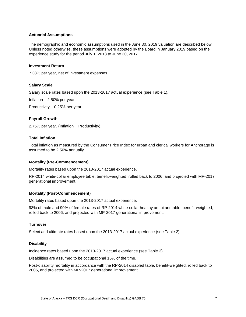#### **Actuarial Assumptions**

The demographic and economic assumptions used in the June 30, 2019 valuation are described below. Unless noted otherwise, these assumptions were adopted by the Board in January 2019 based on the experience study for the period July 1, 2013 to June 30, 2017.

#### **Investment Return**

7.38% per year, net of investment expenses.

#### **Salary Scale**

Salary scale rates based upon the 2013-2017 actual experience (see Table 1).

Inflation – 2.50% per year.

Productivity – 0.25% per year.

#### **Payroll Growth**

2.75% per year. (Inflation + Productivity).

#### **Total Inflation**

Total inflation as measured by the Consumer Price Index for urban and clerical workers for Anchorage is assumed to be 2.50% annually.

#### **Mortality (Pre-Commencement)**

Mortality rates based upon the 2013-2017 actual experience.

RP-2014 white-collar employee table, benefit-weighted, rolled back to 2006, and projected with MP-2017 generational improvement.

#### **Mortality (Post-Commencement)**

Mortality rates based upon the 2013-2017 actual experience.

93% of male and 90% of female rates of RP-2014 white-collar healthy annuitant table, benefit-weighted, rolled back to 2006, and projected with MP-2017 generational improvement.

#### **Turnover**

Select and ultimate rates based upon the 2013-2017 actual experience (see Table 2).

#### **Disability**

Incidence rates based upon the 2013-2017 actual experience (see Table 3).

Disabilities are assumed to be occupational 15% of the time.

Post-disability mortality in accordance with the RP-2014 disabled table, benefit-weighted, rolled back to 2006, and projected with MP-2017 generational improvement.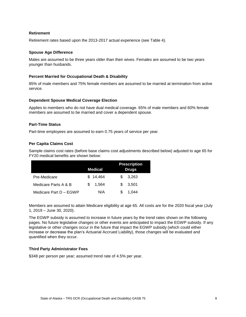#### **Retirement**

Retirement rates based upon the 2013-2017 actual experience (see Table 4).

#### **Spouse Age Difference**

Males are assumed to be three years older than their wives. Females are assumed to be two years younger than husbands.

#### **Percent Married for Occupational Death & Disability**

85% of male members and 75% female members are assumed to be married at termination from active service.

#### **Dependent Spouse Medical Coverage Election**

Applies to members who do not have dual medical coverage. 65% of male members and 60% female members are assumed to be married and cover a dependent spouse.

#### **Part-Time Status**

Part-time employees are assumed to earn 0.75 years of service per year.

#### **Per Capita Claims Cost**

Sample claims cost rates (before base claims cost adjustments described below) adjusted to age 65 for FY20 medical benefits are shown below:

|                        | Medical     | <b>Prescription</b><br><b>Drugs</b> |
|------------------------|-------------|-------------------------------------|
| Pre-Medicare           | \$14.464    | 3,263<br>\$.                        |
| Medicare Parts A & B   | 1.564<br>S. | 3.501<br>S.                         |
| Medicare Part D - EGWP | N/A         | 1.044                               |

Members are assumed to attain Medicare eligibility at age 65. All costs are for the 2020 fiscal year (July 1, 2019 – June 30, 2020).

The EGWP subsidy is assumed to increase in future years by the trend rates shown on the following pages. No future legislative changes or other events are anticipated to impact the EGWP subsidy. If any legislative or other changes occur in the future that impact the EGWP subsidy (which could either increase or decrease the plan's Actuarial Accrued Liability), those changes will be evaluated and quantified when they occur.

#### **Third Party Administrator Fees**

\$348 per person per year; assumed trend rate of 4.5% per year.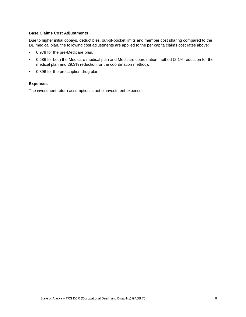#### **Base Claims Cost Adjustments**

Due to higher initial copays, deductibles, out-of-pocket limits and member cost sharing compared to the DB medical plan, the following cost adjustments are applied to the per capita claims cost rates above:

- 0.979 for the pre-Medicare plan.
- 0.686 for both the Medicare medical plan and Medicare coordination method (2.1% reduction for the medical plan and 29.3% reduction for the coordination method).
- 0.896 for the prescription drug plan.

#### **Expenses**

The investment return assumption is net of investment expenses.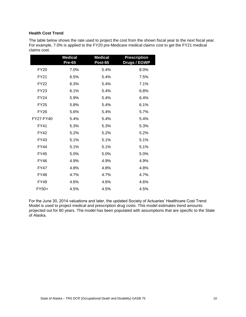#### **Health Cost Trend**

The table below shows the rate used to project the cost from the shown fiscal year to the next fiscal year. For example, 7.0% is applied to the FY20 pre-Medicare medical claims cost to get the FY21 medical claims cost.

|             | <b>Medical</b><br><b>Pre-65</b> | <b>Medical</b><br>Post-65 | <b>Prescription</b><br><b>Drugs / EGWP</b> |
|-------------|---------------------------------|---------------------------|--------------------------------------------|
| <b>FY20</b> | 7.0%                            | 5.4%                      | 8.0%                                       |
| <b>FY21</b> | 6.5%                            | 5.4%                      | 7.5%                                       |
| <b>FY22</b> | 6.3%                            | 5.4%                      | 7.1%                                       |
| <b>FY23</b> | 6.1%                            | 5.4%                      | 6.8%                                       |
| <b>FY24</b> | 5.9%                            | 5.4%                      | 6.4%                                       |
| <b>FY25</b> | 5.8%                            | 5.4%                      | 6.1%                                       |
| <b>FY26</b> | 5.6%                            | 5.4%                      | 5.7%                                       |
| FY27-FY40   | 5.4%                            | 5.4%                      | 5.4%                                       |
| <b>FY41</b> | 5.3%                            | 5.3%                      | 5.3%                                       |
| <b>FY42</b> | 5.2%                            | 5.2%                      | 5.2%                                       |
| <b>FY43</b> | 5.1%                            | 5.1%                      | 5.1%                                       |
| <b>FY44</b> | 5.1%                            | 5.1%                      | 5.1%                                       |
| <b>FY45</b> | 5.0%                            | 5.0%                      | 5.0%                                       |
| <b>FY46</b> | 4.9%                            | 4.9%                      | 4.9%                                       |
| <b>FY47</b> | 4.8%                            | 4.8%                      | 4.8%                                       |
| <b>FY48</b> | 4.7%                            | 4.7%                      | 4.7%                                       |
| <b>FY49</b> | 4.6%                            | 4.6%                      | 4.6%                                       |
| FY50+       | 4.5%                            | 4.5%                      | 4.5%                                       |

For the June 30, 2014 valuations and later, the updated Society of Actuaries' Healthcare Cost Trend Model is used to project medical and prescription drug costs. This model estimates trend amounts projected out for 80 years. The model has been populated with assumptions that are specific to the State of Alaska.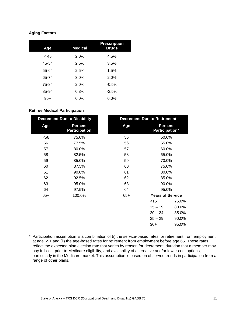# **Aging Factors**

| Age   | <b>Medical</b> | <b>Prescription</b><br><b>Drugs</b> |
|-------|----------------|-------------------------------------|
| < 45  | 2.0%           | 4.5%                                |
| 45-54 | 2.5%           | 3.5%                                |
| 55-64 | 2.5%           | 1.5%                                |
| 65-74 | 3.0%           | 2.0%                                |
| 75-84 | 2.0%           | $-0.5%$                             |
| 85-94 | 0.3%           | $-2.5%$                             |
| $95+$ | $0.0\%$        | $0.0\%$                             |

#### **Retiree Medical Participation**

| <b>Decrement Due to Disability</b>     |       | <b>Decrement Due to Retirement</b> |       |
|----------------------------------------|-------|------------------------------------|-------|
| <b>Percent</b><br><b>Participation</b> | Age   | <b>Percent</b><br>Participation*   |       |
| 75.0%                                  | 55    | 50.0%                              |       |
| 77.5%                                  | 56    | 55.0%                              |       |
| 80.0%                                  | 57    | 60.0%                              |       |
| 82.5%                                  | 58    | 65.0%                              |       |
| 85.0%                                  | 59    | 70.0%                              |       |
| 87.5%                                  | 60    | 75.0%                              |       |
| 90.0%                                  | 61    | 80.0%                              |       |
| 92.5%                                  | 62    | 85.0%                              |       |
| 95.0%                                  | 63    | 90.0%                              |       |
| 97.5%                                  | 64    | 95.0%                              |       |
| 100.0%                                 | $65+$ | <b>Years of Service</b>            |       |
|                                        |       | $<$ 15                             | 75.0% |
|                                        |       | $15 - 19$                          | 80.0% |
|                                        |       | $20 - 24$                          | 85.0% |
|                                        |       | $25 - 29$                          | 90.0% |
|                                        |       | $30+$                              | 95.0% |
|                                        |       |                                    |       |

\* Participation assumption is a combination of (i) the service-based rates for retirement from employment at age 65+ and (ii) the age-based rates for retirement from employment before age 65. These rates reflect the expected plan election rate that varies by reason for decrement, duration that a member may pay full cost prior to Medicare eligibility, and availability of alternative and/or lower cost options, particularly in the Medicare market. This assumption is based on observed trends in participation from a range of other plans.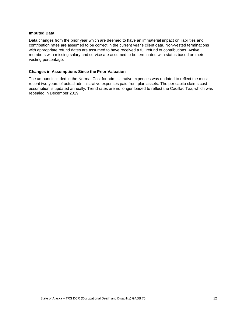#### **Imputed Data**

Data changes from the prior year which are deemed to have an immaterial impact on liabilities and contribution rates are assumed to be correct in the current year's client data. Non-vested terminations with appropriate refund dates are assumed to have received a full refund of contributions. Active members with missing salary and service are assumed to be terminated with status based on their vesting percentage.

#### **Changes in Assumptions Since the Prior Valuation**

The amount included in the Normal Cost for administrative expenses was updated to reflect the most recent two years of actual administrative expenses paid from plan assets. The per capita claims cost assumption is updated annually. Trend rates are no longer loaded to reflect the Cadillac Tax, which was repealed in December 2019.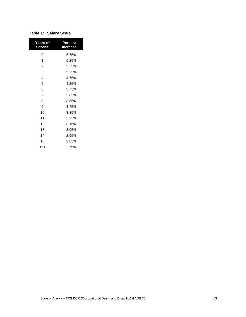| Years of<br><b>Service</b> | Percent<br><b>Increase</b> |
|----------------------------|----------------------------|
| 0                          | 6.75%                      |
| 1                          | 6.25%                      |
| $\overline{2}$             | 5.75%                      |
| 3                          | 5.25%                      |
| $\overline{4}$             | 4.75%                      |
| 5                          | 4.25%                      |
| 6                          | 3.75%                      |
| 7                          | 3.65%                      |
| 8                          | 3.55%                      |
| 9                          | 3.45%                      |
| 10                         | 3.35%                      |
| 11                         | 3.25%                      |
| 12                         | 3.15%                      |
| 13                         | 3.05%                      |
| 14                         | 2.95%                      |
| 15                         | 2.85%                      |
| 16+                        | 2.75%                      |

| <b>Table 1: Salary Scale</b> |  |  |  |  |
|------------------------------|--|--|--|--|
|------------------------------|--|--|--|--|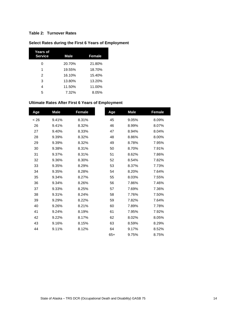# **Table 2: Turnover Rates**

| Years of<br><b>Service</b> | <b>Male</b> | Female |
|----------------------------|-------------|--------|
| 0                          | 20.70%      | 21.80% |
| 1                          | 19.55%      | 18.70% |
| 2                          | 16.10%      | 15.40% |
| 3                          | 13.80%      | 13.20% |
| 4                          | 11.50%      | 11.00% |
| 5                          | 7.32%       | 8.05%  |

# **Select Rates during the First 6 Years of Employment**

# **Ultimate Rates After First 6 Years of Employment**

| Age  | <b>Male</b> | Female | Age   | <b>Male</b> | Female |
|------|-------------|--------|-------|-------------|--------|
| < 26 | 9.41%       | 8.31%  | 45    | 9.05%       | 8.09%  |
| 26   | 9.41%       | 8.32%  | 46    | 8.99%       | 8.07%  |
| 27   | 9.40%       | 8.33%  | 47    | 8.94%       | 8.04%  |
| 28   | 9.39%       | 8.32%  | 48    | 8.86%       | 8.00%  |
| 29   | 9.39%       | 8.32%  | 49    | 8.78%       | 7.95%  |
| 30   | 9.38%       | 8.31%  | 50    | 8.70%       | 7.91%  |
| 31   | 9.37%       | 8.31%  | 51    | 8.62%       | 7.86%  |
| 32   | 9.36%       | 8.30%  | 52    | 8.54%       | 7.82%  |
| 33   | 9.35%       | 8.29%  | 53    | 8.37%       | 7.73%  |
| 34   | 9.35%       | 8.28%  | 54    | 8.20%       | 7.64%  |
| 35   | 9.34%       | 8.27%  | 55    | 8.03%       | 7.55%  |
| 36   | 9.34%       | 8.26%  | 56    | 7.86%       | 7.46%  |
| 37   | 9.33%       | 8.25%  | 57    | 7.69%       | 7.36%  |
| 38   | 9.31%       | 8.24%  | 58    | 7.76%       | 7.50%  |
| 39   | 9.29%       | 8.22%  | 59    | 7.82%       | 7.64%  |
| 40   | 9.26%       | 8.21%  | 60    | 7.89%       | 7.78%  |
| 41   | 9.24%       | 8.19%  | 61    | 7.95%       | 7.92%  |
| 42   | 9.22%       | 8.17%  | 62    | 8.02%       | 8.05%  |
| 43   | 9.16%       | 8.15%  | 63    | 8.59%       | 8.29%  |
| 44   | 9.11%       | 8.12%  | 64    | 9.17%       | 8.52%  |
|      |             |        | $65+$ | 9.75%       | 8.75%  |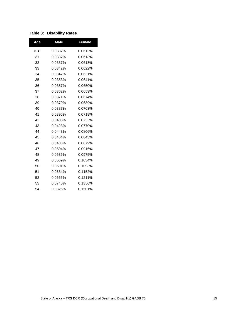# **Table 3: Disability Rates**

| Age    | <b>Male</b> | Female  |
|--------|-------------|---------|
| $<$ 31 | 0.0337%     | 0.0612% |
| 31     | 0.0337%     | 0.0613% |
| 32     | 0.0337%     | 0.0613% |
| 33     | 0.0342%     | 0.0622% |
| 34     | 0.0347%     | 0.0631% |
| 35     | 0.0353%     | 0.0641% |
| 36     | 0.0357%     | 0.0650% |
| 37     | 0.0362%     | 0.0659% |
| 38     | 0.0371%     | 0.0674% |
| 39     | 0.0379%     | 0.0689% |
| 40     | 0.0387%     | 0.0703% |
| 41     | 0.0395%     | 0.0718% |
| 42     | 0.0403%     | 0.0733% |
| 43     | 0.0423%     | 0.0770% |
| 44     | 0.0443%     | 0.0806% |
| 45     | 0.0464%     | 0.0843% |
| 46     | 0.0483%     | 0.0879% |
| 47     | 0.0504%     | 0.0916% |
| 48     | 0.0536%     | 0.0975% |
| 49     | 0.0569%     | 0.1034% |
| 50     | 0.0601%     | 0.1093% |
| 51     | 0.0634%     | 0.1152% |
| 52     | 0.0666%     | 0.1211% |
| 53     | 0.0746%     | 0.1356% |
| 54     | 0.0826%     | 0.1501% |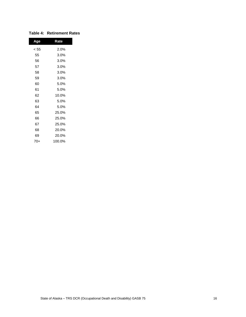| Age  | Rate   |
|------|--------|
| < 55 | 2.0%   |
| 55   | 3.0%   |
| 56   | 3.0%   |
| 57   | 3.0%   |
| 58   | 3.0%   |
| 59   | 3.0%   |
| 60   | 5.0%   |
| 61   | 5.0%   |
| 62   | 10.0%  |
| 63   | 5.0%   |
| 64   | 5.0%   |
| 65   | 25.0%  |
| 66   | 25.0%  |
| 67   | 25.0%  |
| 68   | 20.0%  |
| 69   | 20.0%  |
| 70+  | 100.0% |

# **Table 4: Retirement Rates**

I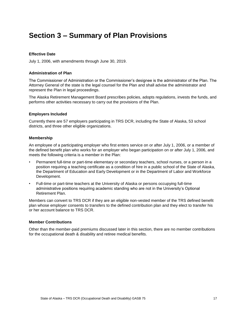# <span id="page-21-0"></span>**Section 3 – Summary of Plan Provisions**

#### **Effective Date**

July 1, 2006, with amendments through June 30, 2019.

#### **Administration of Plan**

The Commissioner of Administration or the Commissioner's designee is the administrator of the Plan. The Attorney General of the state is the legal counsel for the Plan and shall advise the administrator and represent the Plan in legal proceedings.

The Alaska Retirement Management Board prescribes policies, adopts regulations, invests the funds, and performs other activities necessary to carry out the provisions of the Plan.

#### **Employers Included**

Currently there are 57 employers participating in TRS DCR, including the State of Alaska, 53 school districts, and three other eligible organizations.

#### **Membership**

An employee of a participating employer who first enters service on or after July 1, 2006, or a member of the defined benefit plan who works for an employer who began participation on or after July 1, 2006, and meets the following criteria is a member in the Plan:

- Permanent full-time or part-time elementary or secondary teachers, school nurses, or a person in a position requiring a teaching certificate as a condition of hire in a public school of the State of Alaska, the Department of Education and Early Development or in the Department of Labor and Workforce Development.
- Full-time or part-time teachers at the University of Alaska or persons occupying full-time administrative positions requiring academic standing who are not in the University's Optional Retirement Plan.

Members can convert to TRS DCR if they are an eligible non-vested member of the TRS defined benefit plan whose employer consents to transfers to the defined contribution plan and they elect to transfer his or her account balance to TRS DCR.

#### **Member Contributions**

Other than the member-paid premiums discussed later in this section, there are no member contributions for the occupational death & disability and retiree medical benefits.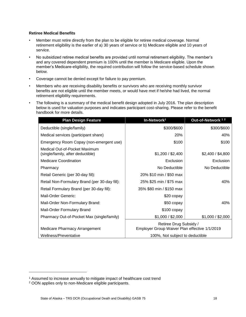#### **Retiree Medical Benefits**

- Member must retire directly from the plan to be eligible for retiree medical coverage. Normal retirement eligibility is the earlier of a) 30 years of service or b) Medicare eligible and 10 years of service.
- No subsidized retiree medical benefits are provided until normal retirement eligibility. The member's and any covered dependent premium is 100% until the member is Medicare eligible. Upon the member's Medicare-eligibility, the required contribution will follow the service-based schedule shown below.
- Coverage cannot be denied except for failure to pay premium.
- Members who are receiving disability benefits or survivors who are receiving monthly survivor benefits are not eligible until the member meets, or would have met if he/she had lived, the normal retirement eligibility requirements.
- The following is a summary of the medical benefit design adopted in July 2016. The plan description below is used for valuation purposes and indicates participant cost-sharing. Please refer to the benefit handbook for more details.

| <b>Plan Design Feature</b>                                         | In-Network <sup>1</sup>                                                 | Out-of-Network <sup>12</sup> |
|--------------------------------------------------------------------|-------------------------------------------------------------------------|------------------------------|
| Deductible (single/family)                                         | \$300/\$600                                                             | \$300/\$600                  |
| Medical services (participant share)                               | <b>20%</b>                                                              | 40%                          |
| Emergency Room Copay (non-emergent use)                            | \$100                                                                   | \$100                        |
| Medical Out-of-Pocket Maximum<br>(single/family, after deductible) | \$1,200 / \$2,400                                                       | \$2,400 / \$4,800            |
| Medicare Coordination                                              | Exclusion                                                               | Exclusion                    |
| Pharmacy                                                           | No Deductible                                                           | No Deductible                |
| Retail Generic (per 30-day fill):                                  | 20% \$10 min / \$50 max                                                 |                              |
| Retail Non-Formulary Brand (per 30-day fill):                      | 25% \$25 min / \$75 max                                                 | 40%                          |
| Retail Formulary Brand (per 30-day fill):                          | 35% \$80 min / \$150 max                                                |                              |
| Mail-Order Generic:                                                | \$20 copay                                                              |                              |
| Mail-Order Non-Formulary Brand:                                    | \$50 copay                                                              | 40%                          |
| Mail-Order Formulary Brand                                         | $$100$ copay                                                            |                              |
| Pharmacy Out-of-Pocket Max (single/family)                         | \$1,000 / \$2,000                                                       | \$1,000 / \$2,000            |
| Medicare Pharmacy Arrangement                                      | Retiree Drug Subsidy /<br>Employer Group Waiver Plan effective 1/1/2019 |                              |
| Wellness/Preventative                                              | 100%, Not subject to deductible                                         |                              |

l

<sup>&</sup>lt;sup>1</sup> Assumed to increase annually to mitigate impact of healthcare cost trend

<sup>2</sup> OON applies only to non-Medicare eligible participants.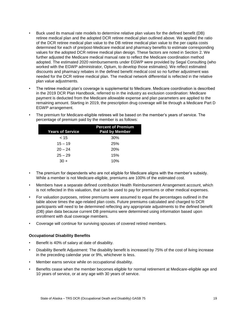- Buck used its manual rate models to determine relative plan values for the defined benefit (DB) retiree medical plan and the adopted DCR retiree medical plan outlined above. We applied the ratio of the DCR retiree medical plan value to the DB retiree medical plan value to the per capita costs determined for each of pre/post-Medicare medical and pharmacy benefits to estimate corresponding values for the adopted DCR retiree medical plan design. These factors are noted in Section 2. We further adjusted the Medicare medical manual rate to reflect the Medicare coordination method adopted. The estimated 2020 reimbursements under EGWP were provided by Segal Consulting (who worked with the EGWP administrator, Optum, to develop those estimates). We reflect estimated discounts and pharmacy rebates in the defined benefit medical cost so no further adjustment was needed for the DCR retiree medical plan. The medical network differential is reflected in the relative plan value adjustments.
- The retiree medical plan's coverage is supplemental to Medicare. Medicare coordination is described in the 2019 DCR Plan Handbook, referred to in the industry as exclusion coordination: Medicare payment is deducted from the Medicare allowable expense and plan parameters are applied to the remaining amount. Starting in 2019, the prescription drug coverage will be through a Medicare Part D EGWP arrangement.

|                         | percentage of premium paid by the member is as follows: |
|-------------------------|---------------------------------------------------------|
| <b>Years of Service</b> | <b>Percent of Premium</b><br><b>Paid by Member</b>      |
| ~15                     | 30%                                                     |
| $15 - 19$               | 25%                                                     |

 $20 - 24$  20%  $25 - 29$  15%  $30 + 10\%$ 

• The premium for Medicare-eligible retirees will be based on the member's years of service. The percentage of premium paid by the member is as follows:

- The premium for dependents who are not eligible for Medicare aligns with the member's subsidy. While a member is not Medicare-eligible, premiums are 100% of the estimated cost.
- Members have a separate defined contribution Health Reimbursement Arrangement account, which is not reflected in this valuation, that can be used to pay for premiums or other medical expenses.
- For valuation purposes, retiree premiums were assumed to equal the percentages outlined in the table above times the age-related plan costs. Future premiums calculated and charged to DCR participants will need to be determined reflecting any appropriate adjustments to the defined benefit (DB) plan data because current DB premiums were determined using information based upon enrollment with dual coverage members.
- Coverage will continue for surviving spouses of covered retired members.

#### **Occupational Disability Benefits**

- Benefit is 40% of salary at date of disability.
- Disability Benefit Adjustment: The disability benefit is increased by 75% of the cost of living increase in the preceding calendar year or 9%, whichever is less.
- Member earns service while on occupational disability.
- Benefits cease when the member becomes eligible for normal retirement at Medicare-eligible age and 10 years of service, or at any age with 30 years of service.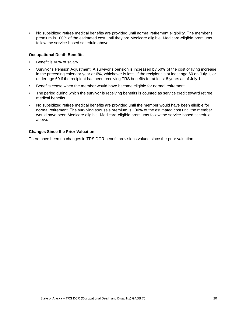• No subsidized retiree medical benefits are provided until normal retirement eligibility. The member's premium is 100% of the estimated cost until they are Medicare eligible. Medicare-eligible premiums follow the service-based schedule above.

#### **Occupational Death Benefits**

- Benefit is 40% of salary.
- Survivor's Pension Adjustment: A survivor's pension is increased by 50% of the cost of living increase in the preceding calendar year or 6%, whichever is less, if the recipient is at least age 60 on July 1, or under age 60 if the recipient has been receiving TRS benefits for at least 8 years as of July 1.
- Benefits cease when the member would have become eligible for normal retirement.
- The period during which the survivor is receiving benefits is counted as service credit toward retiree medical benefits.
- No subsidized retiree medical benefits are provided until the member would have been eligible for normal retirement. The surviving spouse's premium is 100% of the estimated cost until the member would have been Medicare eligible. Medicare-eligible premiums follow the service-based schedule above.

#### **Changes Since the Prior Valuation**

There have been no changes in TRS DCR benefit provisions valued since the prior valuation.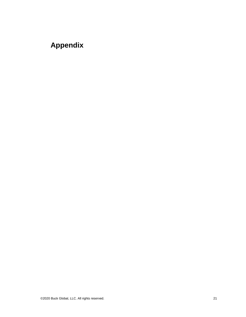# <span id="page-25-0"></span>**Appendix**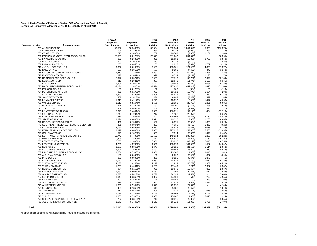# **State of Alaska Teachers' Retirement System DCR - Occupational Death & Disability Schedule A - Employers' Allocation of Net OPEB Liability as of 6/30/2019**

|                        |                                        | FY2019               |            | Total     | Plan                | Net           | Total           | Total          |
|------------------------|----------------------------------------|----------------------|------------|-----------|---------------------|---------------|-----------------|----------------|
|                        |                                        | Employer             | Employer   | OPEB      | Fiduciary           | <b>OPEB</b>   | Deferred        | Deferred       |
| <b>Employer Number</b> | <b>Employer Name</b>                   | <b>Contributions</b> | Proportion | Liability | <b>Net Position</b> | Liability     | <b>Outflows</b> | <b>Inflows</b> |
|                        | 701 ANCHORAGE SD                       | 96,597               | 30.94603%  | 95,004    | 1,339,344           | (1, 244, 340) | 5,653           | (152, 575)     |
|                        | 704 CORDOVA CITY SD                    | 705                  | 0.22581%   | 693       | 9,773               | (9,080)       | 862             | (2,744)        |
|                        | 705 CRAIG CITY SD                      | 775                  | 0.24836%   | 762       | 10,749              | (9,987)       | 1,181           | (1,209)        |
|                        | 706 FAIRBANKS NORTH STAR BOROUGH SD    | 27,525               | 8.81797%   | 27,071    | 381,642             | (354, 571)    | $\sim$          | (53, 565)      |
|                        | 707 HAINES BOROUGH SD                  | 839                  | 0.26873%   | 825       | 11,631              | (10, 806)     | 2,762           | (1,548)        |
|                        |                                        | 629                  |            | 619       |                     |               | $\sim$          | (3,026)        |
|                        | 708 HOONAH CITY SD                     |                      | 0.20162%   |           | 8,726               | (8, 107)      |                 |                |
|                        | 709 HYDABURG CITY SD                   | 203                  | 0.06501%   | 200       | 2,813               | (2,614)       | 1,702           | (316)          |
|                        | 710 JUNEAU BOROUGH SD                  | 9,657                | 3.09383%   | 9,498     | 133,901             | (124, 403)    | 4,300           | (17, 577)      |
|                        | 712 KAKE CITY SD                       | 597                  | 0.19132%   | 587       | 8,280               | (7,693)       | 447             | (1, 148)       |
|                        | 714 KETCHIKAN GATEWAY BOROUGH SD       | 5,419                | 1.73615%   | 5,330     | 75,141              | (69, 811)     | 1,234           | (12, 487)      |
|                        | 717 KLAWOCK CITY SD                    | 327                  | 0.10476%   | 322       | 4,534               | (4,212)       | 1,123           | (1, 173)       |
|                        | 718 KODIAK ISLAND BOROUGH SD           | 7,047                | 2.25770%   | 6,931     | 97,713              | (90, 782)     | 12,072          | (15, 139)      |
|                        | 719 NENANA CITY SD                     | 912                  | 0.29212%   | 897       | 12,643              | (11, 746)     | 1,125           | (3, 361)       |
|                        | 720 NOME CITY SD                       | 2,206                | 0.70671%   | 2,170     | 30,586              | (28, 417)     | 2,086           | (5,288)        |
|                        | 722 MATANUSKA-SUSITNA BOROUGH SD       | 35,154               | 11.26201%  | 34,574    | 487,420             | (452, 845)    | 1,610           | (73, 109)      |
|                        | 723 PELICAN CITY SD                    | 53                   | 0.01701%   | 52        | 736                 | (684)         | 26              | (113)          |
|                        | 724 PETERSBURG CITY SD                 | 990                  | 0.31703%   | 973       | 13,721              | (12, 748)     | 1,664           | (4, 290)       |
|                        | 727 SITKA BOROUGH SD                   | 3,349                | 1.07284%   | 3,294     | 46,433              | (43, 139)     | 377             | (6, 110)       |
|                        | 728 SKAGWAY CITY SD                    | 505                  | 0.16163%   | 496       | 6,995               |               | 483             | (2, 365)       |
|                        |                                        |                      |            |           |                     | (6, 499)      |                 |                |
|                        | 729 UNALASKA CITY SD                   | 1,315                | 0.42120%   | 1,293     | 18,230              | (16, 937)     | 1,422           | (4,036)        |
|                        | 730 VALDEZ CITY SD                     | 1,612                | 0.51646%   | 1,586     | 22,352              | (20, 767)     | 1,251           | (9,035)        |
|                        | 731 WRANGELL PUBLIC SD                 | 744                  | 0.23820%   | 731       | 10,309              | (9,578)       | 735             | (1, 513)       |
|                        | 732 YAKUTAT SD                         | 208                  | 0.06661%   | 204       | 2,883               | (2,678)       | 324             | (1, 377)       |
|                        | 733 UNIVERSITY OF ALASKA               | 7,695                | 2.46514%   | 7,568     | 106,691             | (99, 123)     | 404             | (17, 710)      |
|                        | 735 GALENA CITY SD                     | 2,249                | 0.72047%   | 2,212     | 31,182              | (28, 970)     | $\sim$          | (6, 367)       |
|                        | 736 NORTH SLOPE BOROUGH SD             | 10,516               | 3.36880%   | 10,342    | 145,802             | (135, 459)    | 2,770           | (24, 873)      |
|                        | 737 STATE OF ALASKA                    | 1,394                | 0.44658%   | 1,371     | 19,328              | (17, 957)     | 1,235           | (4,665)        |
|                        | 742 BRISTOL BAY BOROUGH SD             | 496                  | 0.15876%   | 487       | 6,871               | (6, 384)      | 1,329           | (2, 220)       |
|                        | 743 SOUTHEAST REGIONAL RESOURCE CENTER | 295                  | 0.09448%   | 290       | 4,089               | (3,799)       | 1,387           | (625)          |
|                        | 744 DILLINGHAM CITY SD                 | 2,051                | 0.65699%   | 2,017     | 28,434              | (26, 418)     | 3,073           | (5, 135)       |
|                        | 746 KENAI PENINSULA BOROUGH SD         | 19,979               | 6.40052%   | 19,650    | 277,015             | (257, 365)    | 5,586           | (33,095)       |
|                        | 748 SAINT MARY'S SD                    | 571                  | 0.18286%   | 561       | 7,914               | (7, 353)      | 1,442           | (2, 487)       |
|                        | 751 NORTHWEST ARCTIC BOROUGH SD        | 10,740               | 3.44070%   | 10,563    | 148,914             | (138, 351)    | 1,265           |                |
|                        |                                        |                      |            |           |                     |               |                 | (25, 222)      |
|                        | 752 BERING STRAIT SD                   | 10,445               | 3.34606%   | 10,272    | 144,817             | (134, 545)    | 10,734          | (16, 291)      |
|                        | 753 LOWER YUKON SD                     | 6,768                | 2.16809%   | 6,656     | 93,835              | (87, 179)     | 17,046          | (10, 556)      |
|                        | 754 LOWER KUSKOKWIM SD                 | 14,286               | 4.57656%   | 14,050    | 198,073             | (184, 023)    | 11,587          | (24, 842)      |
|                        | 755 KUSPUK SD                          | 1,675                | 0.53655%   | 1,647     | 23,222              | (21, 575)     | 1,114           | (2,853)        |
|                        | 756 SOUTHWEST REGION SD                | 3,596                | 1.15212%   | 3,537     | 49,864              | (46, 327)     | 310             | (8,678)        |
|                        | 757 LAKE AND PENINSULA BOROUGH SD      | 1,684                | 0.53935%   | 1,656     | 23,343              | (21, 687)     | 9,845           | (3,941)        |
|                        | 758 ALEUTIAN REGION SD                 | 189                  | 0.06060%   | 186       | 2,623               | (2, 437)      | 857             | (295)          |
|                        | 759 PRIBILOF SD                        | 283                  | 0.09068%   | 278       | 3,925               | (3,646)       | 1,372           | (441)          |
|                        | 761 IDITAROD AREA SD                   | 1,070                | 0.34277%   | 1,052     | 14,835              | (13, 783)     | 1,912           | (5, 323)       |
|                        | 762 YUKON / KOYUKUK SD                 | 3,167                | 1.01464%   | 3,115     | 43,914              | (40, 799)     | 1,805           | (10, 540)      |
|                        | 763 YUKON FLATS SD                     | 1,258                | 0.40316%   | 1,238     | 17,449              | (16, 211)     | 2,687           | (2,537)        |
|                        | 764 DENALI BOROUGH SD                  | 984                  | 0.31521%   | 968       | 13,642              | (12, 674)     | 827             | (2,867)        |
|                        | 765 DELTA/GREELY SD                    | 1,587                | 0.50843%   | 1,561     | 22,005              | (20, 444)     | 517             | (2,633)        |
|                        | 766 ALASKA GATEWAY SD                  | 1,752                | 0.56120%   | 1,723     | 24,289              | (22, 566)     | ×               | (7,602)        |
|                        | 767 COPPER RIVER SD                    | 1,049                |            | 1,032     |                     |               | 272             |                |
|                        |                                        |                      | 0.33621%   |           | 14,551              | (13, 519)     |                 | (4, 555)       |
|                        | 768 CHATHAM SD                         | 791                  | 0.25342%   | 778       | 10,968              | (10, 190)     | 343             | (2, 292)       |
|                        | 769 SOUTHEAST ISLAND SD                | 976                  | 0.31258%   | 960       | 13,529              | (12, 569)     | 1,386           | (1, 522)       |
|                        | 770 ANNETTE ISLAND SD                  | 1,656                | 0.53042%   | 1,628     | 22,957              | (21, 328)     | $\sim$          | (4, 144)       |
|                        | 771 CHUGACH SD                         | 425                  | 0.13603%   | 418       | 5,888               | (5, 470)      | 100             | (1,613)        |
|                        | 775 TANANA SD                          | 211                  | 0.06774%   | 208       | 2,932               | (2, 724)      | 915             | (1,064)        |
|                        | 777 KASHUNAMIUT SD                     | 1,183                | 0.37899%   | 1,164     | 16,403              | (15, 239)     | 2,161           | (2,836)        |
|                        | 778 YUPIIT SD                          | 1,868                | 0.59855%   | 1,838     | 25,905              | (24,068)      | 5,810           | (2,914)        |
|                        | 779 SPECIAL EDUCATION SERVICE AGENCY   | 722                  | 0.23139%   | 710       | 10,015              | (9,304)       | ٠               | (2, 855)       |
|                        | 780 ALEUTIANS EAST BOROUGH SD          | 1,170                | 0.37482%   | 1,151     | 16,222              | (15,071)      | 1,798           | (2, 497)       |
| Total                  |                                        | 312,145              | 100.00000% | 307,000   | 4,328,000           | (4,021,000)   | 134,327         |                |
|                        |                                        |                      |            |           |                     |               |                 | (621, 195)     |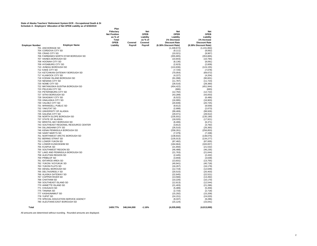# State of Alaska Teachers' Retirement System DCR - Occupational Death & Di<br>Schedule A - Employers' Allocation of Net OPEB Liability as of 6/30/2019

|                                                | Fiduciary           |             | <b>Net</b>  | <b>Net</b>            | <b>Net</b>             |
|------------------------------------------------|---------------------|-------------|-------------|-----------------------|------------------------|
|                                                | <b>Net Position</b> |             | <b>OPEB</b> | <b>OPEB</b>           | <b>OPEB</b>            |
|                                                | as % of             |             | Liability   | Liability             | Liability              |
|                                                | Total               |             | as % of     | 1% Decrease           | 1% Increase            |
|                                                | <b>OPEB</b>         | Covered     | Covered     | <b>Discount Rate</b>  | <b>Discount Rate</b>   |
| <b>Employer Name</b><br><b>Employer Number</b> | Liability           | Payroll     | Payroll     | (6.38% Discount Rate) | (8.38% Discount Rate)  |
| 701 ANCHORAGE SD                               |                     |             |             | (1,248,672)           | (1, 241, 864)          |
| 704 CORDOVA CITY SD                            |                     |             |             | (9, 111)              | (9,062)                |
| 705 CRAIG CITY SD                              |                     |             |             | (10, 021)             | (9,967)                |
| 706 FAIRBANKS NORTH STAR BOROUGH SD            |                     |             |             | (355, 805)            | (353, 865)             |
| 707 HAINES BOROUGH SD                          |                     |             |             | (10, 843)             | (10, 784)              |
| 708 HOONAH CITY SD                             |                     |             |             | (8, 136)              | (8,091)                |
| 709 HYDABURG CITY SD                           |                     |             |             | (2,623)               | (2,609)                |
| 710 JUNEAU BOROUGH SD                          |                     |             |             | (124, 836)            | (124, 155)             |
| 712 KAKE CITY SD                               |                     |             |             | (7, 720)              | (7,678)                |
| 714 KETCHIKAN GATEWAY BOROUGH SD               |                     |             |             | (70, 054)             | (69, 672)              |
| 717 KLAWOCK CITY SD                            |                     |             |             | (4,227)               | (4,204)                |
| 718 KODIAK ISLAND BOROUGH SD                   |                     |             |             | (91,098)              | (90, 601)              |
| 719 NENANA CITY SD                             |                     |             |             | (11, 787)             | (11, 723)              |
| 720 NOME CITY SD                               |                     |             |             | (28, 516)             | (28, 360)              |
| 722 MATANUSKA-SUSITNA BOROUGH SD               |                     |             |             | (454, 422)            | (451, 944)             |
| 723 PELICAN CITY SD                            |                     |             |             | (686)                 | (683)                  |
| 724 PETERSBURG CITY SD                         |                     |             |             | (12, 792)             | (12, 722)              |
| 727 SITKA BOROUGH SD                           |                     |             |             | (43, 289)             | (43,053)               |
| 728 SKAGWAY CITY SD                            |                     |             |             | (6, 522)              | (6, 486)               |
| 729 UNALASKA CITY SD                           |                     |             |             | (16,995)              | (16,903)               |
| 730 VALDEZ CITY SD                             |                     |             |             | (20, 839)             | (20, 725)              |
| 731 WRANGELL PUBLIC SD                         |                     |             |             | (9,612)               | (9,559)                |
| 732 YAKUTAT SD                                 |                     |             |             | (2,688)               | (2,673)                |
| 733 UNIVERSITY OF ALASKA<br>735 GALENA CITY SD |                     |             |             | (99, 469)<br>(29,071) | (98, 926)<br>(28, 912) |
| 736 NORTH SLOPE BOROUGH SD                     |                     |             |             | (135, 931)            | (135, 190)             |
| 737 STATE OF ALASKA                            |                     |             |             | (18,020)              | (17, 921)              |
| 742 BRISTOL BAY BOROUGH SD                     |                     |             |             | (6, 406)              | (6, 371)               |
| 743 SOUTHEAST REGIONAL RESOURCE CENTER         |                     |             |             | (3,812)               | (3,792)                |
| 744 DILLINGHAM CITY SD                         |                     |             |             | (26, 510)             | (26, 365)              |
| 746 KENAI PENINSULA BOROUGH SD                 |                     |             |             | (258, 261)            | (256, 853)             |
| 748 SAINT MARY'S SD                            |                     |             |             | (7, 379)              | (7, 338)               |
| 751 NORTHWEST ARCTIC BOROUGH SD                |                     |             |             | (138, 832)            | (138, 075)             |
| 752 BERING STRAIT SD                           |                     |             |             | (135, 013)            | (134, 277)             |
| 753 LOWER YUKON SD                             |                     |             |             | (87, 482)             | (87,005)               |
| 754 LOWER KUSKOKWIM SD                         |                     |             |             | (184, 664)            | (183, 657)             |
| 755 KUSPUK SD                                  |                     |             |             | (21,650)              | (21, 532)              |
| 756 SOUTHWEST REGION SD                        |                     |             |             | (46, 488)             | (46, 235)              |
| 757 LAKE AND PENINSULA BOROUGH SD              |                     |             |             | (21, 763)             | (21, 644)              |
| 758 ALEUTIAN REGION SD                         |                     |             |             | (2, 445)              | (2, 432)               |
| 759 PRIBILOF SD                                |                     |             |             | (3,659)               | (3,639)                |
| 761 IDITAROD AREA SD                           |                     |             |             | (13, 831)             | (13, 755)              |
| 762 YUKON / KOYUKUK SD                         |                     |             |             | (40, 941)             | (40, 718)              |
| 763 YUKON FLATS SD                             |                     |             |             | (16, 267)             | (16, 179)              |
| 764 DENALI BOROUGH SD                          |                     |             |             | (12, 719)             | (12, 649)              |
| 765 DELTA/GREELY SD                            |                     |             |             | (20, 515)             | (20, 403)              |
| 766 ALASKA GATEWAY SD                          |                     |             |             | (22, 645)             | (22, 521)              |
| 767 COPPER RIVER SD                            |                     |             |             | (13, 566)             | (13, 492)              |
| 768 CHATHAM SD                                 |                     |             |             | (10, 226)             | (10, 170)              |
| 769 SOUTHEAST ISLAND SD                        |                     |             |             | (12,613)              | (12, 544)              |
| 770 ANNETTE ISLAND SD                          |                     |             |             | (21, 403)             | (21, 286)              |
| 771 CHUGACH SD                                 |                     |             |             | (5,489)               | (5, 459)               |
| 775 TANANA SD                                  |                     |             |             | (2,733)               | (2,718)                |
| 777 KASHUNAMIUT SD                             |                     |             |             | (15, 292)             | (15, 209)              |
| 778 YUPIIT SD                                  |                     |             |             | (24, 151)             | (24, 020)              |
| 779 SPECIAL EDUCATION SERVICE AGENCY           |                     |             |             | (9, 337)              | (9,286)                |
| 780 ALEUTIANS EAST BOROUGH SD                  |                     |             |             | (15, 124)             | (15,041)               |
|                                                |                     |             |             |                       |                        |
| <b>Total</b>                                   | 1409.77%            | 346,044,000 | $-1.16%$    | (4,035,000)           | (4,013,000)            |

**Plan**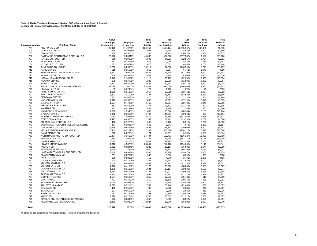## **State of Alaska Teachers' Retirement System DCR - Occupational Death & Disability Schedule B - Employers' Allocation of Net OPEB Liability as of 6/30/2020**

|                        |                                    | FY2020               |            | Total     | Plan                | <b>Net</b>    | Total           | Total          |
|------------------------|------------------------------------|----------------------|------------|-----------|---------------------|---------------|-----------------|----------------|
|                        |                                    | Employer             | Employer   | OPEB      | Fiduciary           | <b>OPEB</b>   | Deferred        | Deferred       |
| <b>Employer Number</b> | <b>Employer Name</b>               | <b>Contributions</b> | Proportion | Liability | <b>Net Position</b> | Liability     | <b>Outflows</b> | <b>Inflows</b> |
| 701                    | ANCHORAGE SD                       | 103,478              | 31.49750%  | 163,157   | 1,519,124           | (1, 355, 967) | 38,486          | (171, 595)     |
| 704                    | CORDOVA CITY SD                    | 655                  | 0.19936%   | 1,033     | 9,615               | (8,582)       | 1,800           | (2,399)        |
| 705                    | <b>CRAIG CITY SD</b>               | 830                  | 0.25261%   | 1,309     | 12,183              | (10, 875)     | 1,304           | (1, 357)       |
| 706                    | FAIRBANKS NORTH STAR BOROUGH SD    | 29,578               | 9.00318%   | 46,636    | 434,223             | (387, 587)    | 9,597           | (58, 723)      |
| 707                    | <b>HAINES BOROUGH SD</b>           | 955                  | 0.29075%   | 1,506     | 14,023              | (12, 517)     | 2,724           | (2, 311)       |
| 708                    | <b>HOONAH CITY SD</b>              | 617                  | 0.18774%   | 972       | 9.055               | (8,082)       | 636             | (2,693)        |
| 709                    | <b>HYDABURG CITY SD</b>            | 683                  | 0.20778%   | 1,076     | 10,021              | (8, 945)      | 1,702           | (5, 498)       |
| 710                    | JUNEAU BOROUGH SD                  | 10,729               | 3.26581%   | 16,917    | 157,510             | (140, 593)    | 7,241           | (23, 437)      |
| 712                    | <b>KAKE CITY SD</b>                | 515                  | 0.15682%   | 812       | 7,564               | (6, 751)      | 1,641           | (950)          |
| 714                    | KETCHIKAN GATEWAY BOROUGH SD       | 6,242                | 1.89997%   | 9,842     | 91,636              | (81, 794)     | 3,097           | (17, 897)      |
| 717                    | <b>KLAWOCK CITY SD</b>             | 306                  | 0.09308%   | 482       | 4,489               | (4,007)       | 1,451           | (1,026)        |
| 718                    | KODIAK ISLAND BOROUGH SD           | 7,048                | 2.14532%   | 11,113    | 103,469             |               | 16,408          | (13,984)       |
| 719                    | <b>NENANA CITY SD</b>              | 878                  | 0.26732%   | 1,385     | 12,893              | (92, 356)     | 2,052           |                |
| 720                    | NOME CITY SD                       | 2,237                | 0.68105%   | 3,528     | 32,847              | (11,508)      | 3,347           | (2,987)        |
| 722                    | MATANUSKA-SUSITNA BOROUGH SD       | 37,124               | 11.30001%  | 58,534    | 545,000             | (29, 319)     | 13,460          | (4,918)        |
|                        | PELICAN CITY SD                    |                      |            |           |                     | (486, 465)    |                 | (71, 873)      |
| 723                    | PETERSBURG CITY SD                 | 82                   | 0.02484%   | 129       | 1,198               | (1,070)       | 49              | (393)          |
| 724                    |                                    | 1,026                | 0.31221%   | 1,617     | 15,058              | (13, 441)     | 1,934           | (3,923)        |
| 727                    | SITKA BOROUGH SD                   | 3,322                | 1.01105%   | 5,237     | 48,763              | (43, 526)     | 3,349           | (5,666)        |
| 728                    | <b>SKAGWAY CITY SD</b>             | 552                  | 0.16787%   | 870       | 8,097               | (7, 227)      | 603             | (2, 385)       |
| 729                    | <b>UNALASKA CITY SD</b>            | 1,312                | 0.39931%   | 2,068     | 19,259              | (17, 190)     | 2,347           | (3,675)        |
| 730                    | VALDEZ CITY SD                     | 1,557                | 0.47386%   | 2,455     | 22,854              | (20, 400)     | 2,941           | (7,985)        |
| 731                    | <b>WRANGELL PUBLIC SD</b>          | 867                  | 0.26396%   | 1,367     | 12,731              | (11, 363)     | 927             | (2, 395)       |
| 732                    | YAKUTAT SD                         | 257                  | 0.07818%   | 405       | 3,770               | (3, 365)      | 367             | (1,660)        |
| 733                    | UNIVERSITY OF ALASKA               | 7,538                | 2.29463%   | 11,886    | 110,670             | (98, 784)     | 8,155           | (16, 104)      |
| 735                    | <b>GALENA CITY SD</b>              | 3,042                | 0.92600%   | 4,797     | 44,661              | (39, 864)     | 987             | (13, 451)      |
| 736                    | NORTH SLOPE BOROUGH SD             | 10,033               | 3.05379%   | 15,819    | 147,284             | (131, 466)    | 15,558          | (22, 217)      |
| 737                    | STATE OF ALASKA                    | 1,495                | 0.45505%   | 2,357     | 21,947              | (19, 590)     | 1,709           | (4,388)        |
| 742                    | <b>BRISTOL BAY BOROUGH SD</b>      | 420                  | 0.12799%   | 663       | 6,173               | (5, 510)      | 2,260           | (1,890)        |
| 743                    | SOUTHEAST REGIONAL RESOURCE CENTER | 357                  | 0.10867%   | 563       | 5,241               | (4,678)       | 1,333           | (1, 117)       |
| 744                    | DILLINGHAM CITY SD                 | 2,259                | 0.68768%   | 3,562     | 33,167              | (29, 605)     | 3,402           | (5,997)        |
| 746                    | KENAI PENINSULA BOROUGH SD         | 20,462               | 6.22827%   | 32,262    | 300,390             | (268, 127)    | 16,928          | (31, 828)      |
| 748                    | <b>SAINT MARY'S SD</b>             | 745                  | 0.22664%   | 1,174     | 10,931              | (9, 757)      | 1,503           | (3,874)        |
| 751                    | NORTHWEST ARCTIC BOROUGH SD        | 10,404               | 3.16672%   | 16,404    | 152,731             | (136, 327)    | 13,080          | (22, 758)      |
| 752                    | <b>BERING STRAIT SD</b>            | 10,860               | 3.30571%   | 17,124    | 159,435             | (142, 311)    | 14,164          | (15,999)       |
| 753                    | LOWER YUKON SD                     | 6,280                | 1.91157%   | 9,902     | 92,195              | (82, 293)     | 25,005          | (9,251)        |
| 754                    | LOWER KUSKOKWIM SD                 | 14,810               | 4.50797%   | 23,351    | 217,420             | (194, 068)    | 17,110          | (24, 041)      |
| 755                    | <b>KUSPUK SD</b>                   | 2,052                | 0.62445%   | 3,235     | 30,117              | (26, 883)     | 1,644           | (5,999)        |
| 756                    | SOUTHWEST REGION SD                | 3,754                | 1.14280%   | 5,920     | 55,117              | (49, 197)     | 1,779           | (8, 207)       |
| 757                    | LAKE AND PENINSULA BOROUGH SD      | 2,280                | 0.69396%   | 3,595     | 33,470              | (29, 875)     | 9,353           | (9,379)        |
| 758                    | ALEUTIAN REGION SD                 | 251                  | 0.07642%   | 396       | 3,686               | (3, 290)      | 831             | (868)          |
| 759                    | PRIBILOF SD                        | 289                  | 0.08809%   | 456       | 4,249               | (3, 792)      | 1,376           | (426)          |
| 761                    | <b>IDITAROD AREA SD</b>            | 904                  | 0.27508%   | 1,425     | 13,267              | (11, 842)     | 4,100           | (4, 511)       |
| 762                    | YUKON / KOYUKUK SD                 | 3,150                | 0.95888%   | 4,967     | 46,247              | (41, 280)     | 4,339           | (9,551)        |
| 763                    | YUKON FLATS SD                     | 1,376                | 0.41887%   | 2,170     | 20,202              | (18,033)      | 2,801           | (3,027)        |
| 764                    | DENALI BOROUGH SD                  | 1,030                | 0.31358%   | 1,624     | 15,124              | (13,500)      | 1,109           | (2,674)        |
| 765                    | DELTA/GREELY SD                    | 1,514                | 0.46085%   | 2,387     | 22,227              | (19, 839)     | 2,435           | (2, 368)       |
| 766                    | ALASKA GATEWAY SD                  | 1,692                | 0.51506%   | 2,668     | 24,842              | (22, 174)     | 1,998           | (6, 751)       |
| 767                    | <b>COPPER RIVER SD</b>             | 1,177                | 0.35821%   | 1,856     | 17,276              | (15, 421)     | 618             | (4,989)        |
| 768                    | <b>CHATHAM SD</b>                  | 793                  | 0.24132%   | 1,250     | 11,639              | (10, 389)     | 938             | (2,091)        |
| 769                    | SOUTHEAST ISLAND SD                | 1,190                | 0.36211%   | 1,876     | 17,465              | (15, 589)     | 1,601           | (3,312)        |
| 770                    | ANNETTE ISLAND SD                  | 1,713                | 0.52141%   | 2,701     | 25,148              | (22, 447)     | 837             | (3,887)        |
| 771                    | CHUGACH SD                         | 498                  | 0.15168%   | 786       | 7,315               | (6, 530)      | 249             | (2,061)        |
| 775                    | <b>TANANA SD</b>                   | 227                  | 0.06922%   | 359       | 3,339               | (2,980)       | 869             | (1,026)        |
| 777                    | <b>KASHUNAMIUT SD</b>              | 732                  | 0.22268%   | 1,153     | 10,740              | (9,586)       | 7,036           | (1, 947)       |
| 778                    | YUPIIT SD                          | 2,390                | 0.72740%   | 3,768     | 35,082              | (31, 315)     | 5,868           | (7, 577)       |
| 779                    | SPECIAL EDUCATION SERVICE AGENCY   | 673                  | 0.20495%   | 1,062     | 9,885               | (8, 823)      | 1,050           | (2,507)        |
| 780                    | ALEUTIANS EAST BOROUGH SD          | 1,290                | 0.39271%   | 2,034     | 18,940              | (16,906)      | 1,997           | (3,049)        |
|                        |                                    |                      |            |           |                     |               |                 |                |
| Total                  |                                    | 328,528              | 100.00%    | 518,000   | 4,823,000           | (4,305,000)   | 291,483         | (668, 853)     |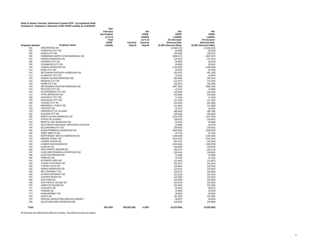#### **State of Alaska Teachers' Retirement System DCR - Occupational Death Schedule B - Employers' Allocation of Net OPEB Liability as of 6/30/2020**

**Employer Number Employer Name** 701 ANCHORAGE SD<br>704 CORDOVA CITY S 704 CORDOVA CITY SD<br>705 CRAIG CITY SD 705 CRAIG CITY SD<br>706 FAIRBANKS NO 706 FAIRBANKS NORTH STAR BOROUGH SD HAINES BOROUGH SD 708 HOONAH CITY SD 709 HYDABURG CITY SD<br>710 JUNEAU BOROUGH S 710 JUNEAU BOROUGH SD<br>712 KAKE CITY SD KAKE CITY SD 714 KETCHIKAN GATEWAY BOROUGH SD<br>717 KLAWOCK CITY SD 717 KLAWOCK CITY SD<br>718 KODIAK ISLAND BO KODIAK ISLAND BOROUGH SD 719 NENANA CITY SD 720 NOME CITY SD T22 MATANUSKA-SUSITNA BOROUGH SD<br>723 PELICAN CITY SD 723 PELICAN CITY SD<br>724 PETERSBURG CIT 724 PETERSBURG CITY SD<br>727 SITKA BOROUGH SD 727 SITKA BOROUGH SD<br>728 SKAGWAY CITY SD 728 SKAGWAY CITY SD<br>729 UNALASKA CITY SD 729 UNALASKA CITY SD<br>730 VALDEZ CITY SD 730 VALDEZ CITY SD<br>731 WRANGELL PUBL WRANGELL PUBLIC SD THE YAKUTAT SD<br>733 UNIVERSITY O THE UNIVERSITY OF ALASKA<br>735 GALENA CITY SD 735 GALENA CITY SD<br>736 NORTH SLOPE BO NORTH SLOPE BOROUGH SD 737 STATE OF ALASKA<br>742 BRISTOL BAY BORO 742 BRISTOL BAY BOROUGH SD<br>743 SOUTHEAST REGIONAL RES 743 SOUTHEAST REGIONAL RESOURCE CENTER<br>744 DILLINGHAM CITY SD DILLINGHAM CITY SD 746 KENAI PENINSULA BOROUGH SD 748 SAINT MARY'S SD<br>751 NORTHWEST ARC 751 NORTHWEST ARCTIC BOROUGH SD<br>752 BERING STRAIT SD 752 BERING STRAIT SD<br>753 LOWER YUKON SD 753 LOWER YUKON SD<br>754 LOWER KUSKOKWI 754 LOWER KUSKOKWIM SD<br>755 KUSPUK SD 755 KUSPUK SD<br>756 SOUTHWEST 756 SOUTHWEST REGION SD<br>757 LAKE AND PENINSULA BC 757 LAKE AND PENINSULA BOROUGH SD 758 ALEUTIAN REGION SD<br>759 PRIBILOF SD 759 PRIBILOF SD<br>761 IDITAROD AR **761 IDITAROD AREA SD<br>762 YUKON / KOYUKUK** YUKON / KOYUKUK SD 763 YUKON FLATS SD<br>764 DENALI BOROUGH 764 DENALI BOROUGH SD<br>765 DELTA/GREELY SD DELTA/GREELY SD 766 ALASKA GATEWAY SD 767 COPPER RIVER SD 768 CHATHAM SD<br>769 SOUTHEAST IS 769 SOUTHEAST ISLAND SD<br>770 ANNETTE ISLAND SD 770 ANNETTE ISLAND SD<br>771 CHUGACH SD 771 CHUGACH SD<br>775 TANANA SD 775 TANANA SD<br>777 KASHUNAMII KASHUNAMIUT SD 778 YUPIIT SD TT9 SPECIAL EDUCATION SERVICE AGENCY<br>780 ALEUTIANS EAST BOROUGH SD ALEUTIANS EAST BOROUGH SD **Total Plan**<br>Fiduciary **Fiduciary Net Net Net Net Position OPEB OPEB OPEB as % of Liability Liability Liability Total as % of 1% Decrease 1% Increase OPEB Covered Covered Discount Rate Discount Rate Liability Payroll Payroll (6.38% Discount Rate) (8.38% Discount Rate)** (1,358,172) (1,355,337)  $(8,596)$   $(8,578)$ <br>(10.893)  $(10.870)$  $(10,893)$   $(10,870)$ <br>(388.217)  $(387.407)$  $(388,217)$   $(387,407)$ <br> $(12,537)$   $(12,511)$  $(12,537)$   $(12,511)$ <br> $(8,095)$   $(8,078)$  $(8,095)$ (8,959) (8,941)<br>
140,822) (140,528)  $(140,822)$   $(6,762)$   $(6,748)$  (6,762) (6,748) (81,927) (81,756)<br>(4,013) (4,005)  $(4,013)$   $(4,005)$ <br> $(92.506)$   $(92.313)$  $(92,506)$   $(92,313)$ <br> $(11,527)$   $(11,503)$  $(11,527)$   $(11,503)$ <br>  $(29,367)$   $(29,306)$  $(29,367)$  (487,256) (486,239)  $(1,071)$   $(1,069)$ <br> $(13.463)$   $(13.434)$  $(13,463)$ <br> $(43,596)$  $(43,505)$ <br> $(7,224)$  $(7,239)$   $(7,224)$ <br> $(17.218)$   $(17.182)$  $(17,218)$   $(17,182)$ <br>(20.433) (20.390)  $(20,433)$   $(20,390)$ <br> $(11,382)$   $(11,358)$  $(11,382)$   $(11,358)$ <br> $(3,371)$   $(3,364)$  $(3,371)$   $(3,364)$ <br>(98,944) (98,738) (98,944) (98,738)<br>(39,929) (39,846) (39,929) (39,846)<br>(131.679) (131.405)  $(131.679)$ (19,622) (19,581)<br>(5,519) (5,508)  $(5,519)$   $(5,508)$ <br> $(4.686)$   $(4.676)$  $(4,686)$ <br>  $(29,653)$ <br>  $(29,591)$ (29,653) (29,591)<br>(268,563) (268,003)  $(268, 563)$  (9,773) (9,752) (136,549) (136,264)  $(142,542)$   $(142,245)$ <br> $(82.427)$   $(82.255)$  $(82,427)$   $(82,255)$ <br>(194,384) (193,978) (194,384) (193,978)  $(26,926)$   $(26,870)$ <br> $(49.277)$   $(49.175)$ (49,277) (49,175)<br>(29,924) (29,861)  $(29, 924)$  $(3,295)$ <br>  $(3,799)$ <br>  $(3,791)$  $(3,799)$   $(3,791)$ <br> $(11,861)$   $(11,837)$  $(11,861)$   $(11,837)$ <br> $(41.347)$   $(41.261)$  $(41,347)$   $(41,261)$ <br>  $(18.062)$   $(18.024)$  (18,062) (18,024) (13,522) (13,493)  $(19.872)$  $(22,210)$   $(22,163)$ <br> $(15,446)$   $(15,414)$  $(15,446)$   $(15,414)$ <br> $(10,406)$   $(10,384)$  (10,406) (10,384) (15,614) (15,582)  $(22,483)$   $(22,436)$ <br>(6.540) (6.527)  $(6,540)$  (6,527) (2,985) (2,979)  $(9,602)$  (31,365) (31,300) (8,837) (8,819)<br>(16.934) (16.898)  $(16.934)$ **931.08% 359,622,000 -1.20% (4,312,000) (4,303,000)**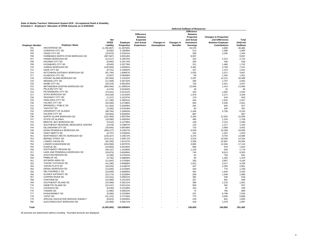# **State of Alaska Teachers' Retirement System DCR - Occupational Death & Disability Schedule C - Employers' Allocation of OPEB Amounts as of 6/30/2020**

|                        |                                                      |                       |                      |                   |                    |                 | <b>Deferred Outflows of Resources</b> |                              |                 |
|------------------------|------------------------------------------------------|-----------------------|----------------------|-------------------|--------------------|-----------------|---------------------------------------|------------------------------|-----------------|
|                        |                                                      |                       |                      | <b>Difference</b> |                    |                 | <b>Difference</b><br><b>Between</b>   |                              |                 |
|                        |                                                      |                       |                      | <b>Between</b>    |                    |                 | Projected                             | <b>Changes in Proportion</b> |                 |
|                        |                                                      | <b>Net</b>            |                      | <b>Expected</b>   |                    |                 | and Actual                            | and Differences              | Total           |
|                        |                                                      | <b>OPEB</b>           | Employer             | and Actual        | Changes in         | Changes in      | Investment                            | <b>Between Employer</b>      | Deferred        |
| <b>Employer Number</b> | <b>Employer Name</b>                                 | Liability             | Proportion           | Experience        | <b>Assumptions</b> | <b>Benefits</b> | Earnings                              | <b>Contributions</b>         | Outflows        |
| 701                    | ANCHORAGE SD                                         | (1,355,967)           | 31.49750%            |                   |                    |                 | 33,576                                | 4,909                        | 38,486          |
| 704                    | <b>CORDOVA CITY SD</b>                               | (8, 582)              | 0.19936%             |                   |                    |                 | 213                                   | 1,588                        | 1,800           |
| 705                    | <b>CRAIG CITY SD</b>                                 | (10, 875)             | 0.25261%             |                   |                    |                 | 269                                   | 1,035                        | 1,304           |
| 706                    | FAIRBANKS NORTH STAR BOROUGH SD                      | (387, 587)            | 9.00318%             |                   |                    |                 | 9,597                                 |                              | 9,597           |
| 707                    | HAINES BOROUGH SD                                    | (12, 517)             | 0.29075%             |                   |                    |                 | 310                                   | 2,414                        | 2,724           |
| 708                    | <b>HOONAH CITY SD</b>                                | (8,082)               | 0.18774%             |                   |                    |                 | 200                                   | 436                          | 636             |
| 709                    | <b>HYDABURG CITY SD</b>                              | (8, 945)              | 0.20778%             |                   |                    |                 | 221                                   | 1,480                        | 1,702           |
| 710                    | JUNEAU BOROUGH SD                                    | (140, 593)            | 3.26581%             |                   |                    |                 | 3,481                                 | 3,760                        | 7,241           |
| 712                    | <b>KAKE CITY SD</b>                                  | (6, 751)              | 0.15682%             |                   |                    |                 | 167                                   | 1,474                        | 1,641           |
| 714                    | KETCHIKAN GATEWAY BOROUGH SD                         | (81, 794)             | 1.89997%             |                   |                    |                 | 2,025                                 | 1,072                        | 3,097           |
| 717                    | <b>KLAWOCK CITY SD</b>                               | (4,007)               | 0.09308%             |                   |                    |                 | 99                                    | 1,352                        | 1,451           |
| 718                    | KODIAK ISLAND BOROUGH SD                             | (92, 356)             | 2.14532%             |                   |                    |                 | 2,287                                 | 14,121                       | 16,408          |
| 719                    | <b>NENANA CITY SD</b>                                | (11,508)              | 0.26732%             |                   |                    |                 | 285                                   | 1,767                        | 2,052           |
| 720                    | NOME CITY SD                                         | (29, 319)             | 0.68105%             |                   |                    |                 | 726                                   | 2,621                        | 3,347           |
| 722                    | MATANUSKA-SUSITNA BOROUGH SD                         | (486, 465)            | 11.30001%            |                   |                    |                 | 12,046                                | 1,414                        | 13,460          |
| 723                    | PELICAN CITY SD                                      | (1,070)               | 0.02484%             |                   |                    |                 | 26                                    | 22                           | 49              |
| 724                    | PETERSBURG CITY SD                                   | (13, 441)             | 0.31221%             |                   |                    |                 | 333                                   | 1,602                        | 1,934           |
| 727                    | SITKA BOROUGH SD                                     | (43, 526)             | 1.01105%             |                   |                    |                 | 1,078                                 | 2,271                        | 3,349           |
| 728                    | <b>SKAGWAY CITY SD</b>                               | (7, 227)              | 0.16787%             |                   |                    |                 | 179                                   | 424                          | 603             |
| 729                    | UNALASKA CITY SD                                     | (17, 190)             | 0.39931%             |                   |                    |                 | 426                                   | 1,922                        | 2,347           |
| 730                    | VALDEZ CITY SD                                       | (20, 400)             | 0.47386%             |                   |                    |                 | 505                                   | 2,436                        | 2,941           |
| 731                    | <b>WRANGELL PUBLIC SD</b>                            |                       | 0.26396%             |                   |                    |                 | 281                                   | 645                          | 927             |
| 732                    | YAKUTAT SD                                           | (11, 363)             | 0.07818%             |                   |                    |                 | 83                                    | 284                          | 367             |
| 733                    | UNIVERSITY OF ALASKA                                 | (3, 365)<br>(98, 784) | 2.29463%             |                   |                    |                 | 2,446                                 | 5,709                        | 8,155           |
| 735                    | <b>GALENA CITY SD</b>                                |                       |                      |                   |                    |                 | 987                                   |                              |                 |
|                        | NORTH SLOPE BOROUGH SD                               | (39, 864)             | 0.92600%             |                   |                    |                 |                                       |                              | 987             |
| 736<br>737             | <b>STATE OF ALASKA</b>                               | (131, 466)            | 3.05379%<br>0.45505% |                   |                    |                 | 3,255<br>485                          | 12,302<br>1.224              | 15,558<br>1.709 |
| 742                    |                                                      | (19, 590)             |                      |                   |                    |                 |                                       |                              |                 |
|                        | <b>BRISTOL BAY BOROUGH SD</b>                        | (5, 510)              | 0.12799%             |                   |                    |                 | 136                                   | 2,123                        | 2,260           |
| 743<br>744             | SOUTHEAST REGIONAL RESOURCE CENTER                   | (4,678)               | 0.10867%             |                   |                    |                 | 116                                   | 1.217                        | 1,333           |
|                        | DILLINGHAM CITY SD                                   | (29, 605)             | 0.68768%             |                   |                    |                 | 733                                   | 2,669                        | 3,402           |
| 746<br>748             | KENAI PENINSULA BOROUGH SD<br><b>SAINT MARY'S SD</b> | (268, 127)            | 6.22827%             |                   |                    |                 | 6,639                                 | 10,289                       | 16,928          |
|                        |                                                      | (9, 757)              | 0.22664%             |                   |                    |                 | 242                                   | 1,261                        | 1,503           |
| 751                    | NORTHWEST ARCTIC BOROUGH SD                          | (136, 327)            | 3.16672%             |                   |                    |                 | 3,376                                 | 9,704                        | 13,080          |
| 752                    | <b>BERING STRAIT SD</b>                              | (142, 311)            | 3.30571%             |                   |                    |                 | 3,524                                 | 10,640                       | 14,164          |
| 753                    | <b>LOWER YUKON SD</b>                                | (82, 293)             | 1.91157%             |                   |                    |                 | 2,038                                 | 22,967                       | 25,005          |
| 754                    | LOWER KUSKOKWIM SD                                   | (194, 068)            | 4.50797%             |                   |                    |                 | 4,805                                 | 12,304                       | 17,110          |
| 755                    | <b>KUSPUK SD</b>                                     | (26, 883)             | 0.62445%             |                   |                    |                 | 666                                   | 978                          | 1,644           |
| 756                    | SOUTHWEST REGION SD                                  | (49, 197)             | 1.14280%             |                   |                    |                 | 1,218                                 | 560                          | 1.779           |
| 757                    | LAKE AND PENINSULA BOROUGH SD                        | (29, 875)             | 0.69396%             |                   |                    |                 | 740                                   | 8,613                        | 9,353           |
| 758                    | ALEUTIAN REGION SD                                   | (3,290)               | 0.07642%             |                   |                    |                 | 81                                    | 750                          | 831             |
| 759                    | PRIBILOF SD                                          | (3,792)               | 0.08809%             |                   |                    |                 | 94                                    | 1,282                        | 1,376           |
| 761                    | <b>IDITAROD AREA SD</b>                              | (11, 842)             | 0.27508%             |                   |                    |                 | 293                                   | 3.807                        | 4,100           |
| 762                    | YUKON / KOYUKUK SD                                   | (41, 280)             | 0.95888%             |                   |                    |                 | 1,022                                 | 3,317                        | 4,339           |
| 763                    | YUKON FLATS SD                                       | (18, 033)             | 0.41887%             |                   |                    |                 | 447                                   | 2,355                        | 2,801           |
| 764                    | DENALI BOROUGH SD                                    | (13,500)              | 0.31358%             |                   |                    |                 | 334                                   | 775                          | 1,109           |
| 765                    | <b>DELTA/GREELY SD</b>                               | (19, 839)             | 0.46085%             |                   |                    |                 | 491                                   | 1.944                        | 2.435           |
| 766                    | ALASKA GATEWAY SD                                    | (22, 174)             | 0.51506%             |                   |                    |                 | 549                                   | 1,449                        | 1,998           |
| 767                    | <b>COPPER RIVER SD</b>                               | (15, 421)             | 0.35821%             |                   |                    |                 | 382                                   | 236                          | 618             |
| 768                    | <b>CHATHAM SD</b>                                    | (10, 389)             | 0.24132%             |                   |                    |                 | 257                                   | 681                          | 938             |
| 769                    | SOUTHEAST ISLAND SD                                  | (15, 589)             | 0.36211%             |                   |                    |                 | 386                                   | 1,215                        | 1,601           |
| 770                    | ANNETTE ISLAND SD                                    | (22, 447)             | 0.52141%             |                   |                    |                 | 556                                   | 281                          | 837             |
| 771                    | CHUGACH SD                                           | (6, 530)              | 0.15168%             |                   |                    |                 | 162                                   | 87                           | 249             |
| 775                    | <b>TANANA SD</b>                                     | (2,980)               | 0.06922%             |                   |                    |                 | 74                                    | 795                          | 869             |
| 777                    | <b>KASHUNAMIUT SD</b>                                | (9,586)               | 0.22268%             |                   |                    |                 | 237                                   | 6,798                        | 7,036           |
| 778                    | <b>YUPIIT SD</b>                                     | (31, 315)             | 0.72740%             |                   |                    |                 | 775                                   | 5,093                        | 5,868           |
| 779                    | SPECIAL EDUCATION SERVICE AGENCY                     | (8, 823)              | 0.20495%             |                   |                    |                 | 218                                   | 831                          | 1,050           |
| 780                    | ALEUTIANS EAST BOROUGH SD                            | (16,906)              | 0.39271%             |                   |                    |                 | 419                                   | 1,578                        | 1,997           |
| Total                  |                                                      | (4,305,000)           | 100.00000%           |                   |                    |                 | 106.600                               | 184.883                      | 291.483         |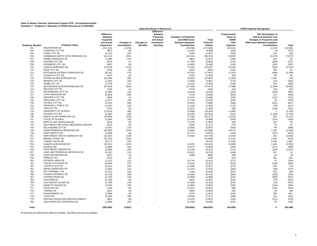# State of Alaska Teachers' Retirement System DCR - Occupational Death **i**<br>Schedule C - Employers' Allocation of OPEB Amounts as of 6/30/2020

|                        |                                    |                   |                    |                          | Deferred Inflows of Resources |                              |                 |                | <b>OPEB Expense Recognized</b>      |              |
|------------------------|------------------------------------|-------------------|--------------------|--------------------------|-------------------------------|------------------------------|-----------------|----------------|-------------------------------------|--------------|
|                        |                                    |                   |                    |                          | <b>Difference</b>             |                              |                 |                |                                     |              |
|                        |                                    | <b>Difference</b> |                    |                          | <b>Between</b>                |                              |                 | Proportionate  | <b>Net Amortization of</b>          |              |
|                        |                                    | <b>Between</b>    |                    |                          | Projected                     | <b>Changes in Proportion</b> |                 | Share of       | <b>Deferred Amounts from</b>        |              |
|                        |                                    | <b>Expected</b>   |                    |                          | and Actual                    | and Differences              | Total           | OPEB           | <b>Changes in Proportion and</b>    |              |
|                        |                                    | and Actual        | Changes in         | Changes in               | Investment                    | <b>Between Employer</b>      | <b>Deferred</b> | Plan           | <b>Differences Between Employer</b> |              |
| <b>Employer Number</b> | <b>Employer Name</b>               | <b>Experience</b> | <b>Assumptions</b> | <b>Benefits</b>          | Earnings                      | <b>Contributions</b>         | <b>Inflows</b>  | <b>Expense</b> | <b>Contributions</b>                | <b>Total</b> |
| 701                    | <b>ANCHORAGE SD</b>                | (151, 210)        | (1,229)            |                          |                               | (19, 156)                    | (171, 595)      | (20, 315)      | (1,647)                             | (21, 963)    |
| 704                    | CORDOVA CITY SD                    | (957)             | (8)                | $\sim$                   |                               | (1, 434)                     | (2, 399)        | (129)          | (3)                                 | (131)        |
|                        |                                    |                   |                    |                          |                               |                              |                 |                |                                     |              |
| 705                    | <b>CRAIG CITY SD</b>               | (1, 213)          | (10)               | $\sim$                   |                               | (135)                        | (1, 357)        | (163)          | 130                                 | (33)         |
| 706                    | FAIRBANKS NORTH STAR BOROUGH SD    | (43, 221)         | (351)              | $\overline{\phantom{a}}$ |                               | (15, 151)                    | (58, 723)       | (5,807)        | (2,070)                             | (7, 877)     |
| 707                    | <b>HAINES BOROUGH SD</b>           | (1, 396)          | (11)               | ÷.                       |                               | (904)                        | (2, 311)        | (188)          | 233                                 | 45           |
| 708                    | HOONAH CITY SD                     | (901)             | (7)                | ÷.                       |                               | (1,785)                      | (2,693)         | (121)          | (206)                               | (327)        |
| 709                    | <b>HYDABURG CITY SD</b>            | (997)             | (8)                |                          |                               | (4, 492)                     | (5, 498)        | (134)          | (332)                               | (467)        |
| 710                    | JUNEAU BOROUGH SD                  | (15, 678)         | (127)              |                          |                               | (7,632)                      | (23, 437)       | (2, 106)       | (436)                               | (2, 542)     |
| 712                    | <b>KAKE CITY SD</b>                | (753)             | (6)                |                          |                               | (191)                        | (950)           | (101)          | 165                                 | 64           |
| 714                    | KETCHIKAN GATEWAY BOROUGH SD       | (9, 121)          | (74)               |                          |                               | (8,701)                      | (17, 897)       | (1, 225)       | (969)                               | (2, 195)     |
| 717                    | <b>KLAWOCK CITY SD</b>             | (447)             | (4)                |                          |                               | (576)                        | (1,026)         | (60)           | 96                                  | 36           |
| 718                    | KODIAK ISLAND BOROUGH SD           | (10, 299)         | (84)               |                          |                               | (3,601)                      | (13,984)        | (1, 384)       | 1,367                               | (16)         |
| 719                    | <b>NENANA CITY SD</b>              | (1,283)           | (10)               | ÷.                       |                               | (1,693)                      | (2,987)         | (172)          | (12)                                | (184)        |
| 720                    | NOME CITY SD                       | (3,270)           | (27)               | $\sim$                   |                               | (1,622)                      | (4,918)         | (439)          | 143                                 | (296)        |
| 722                    | MATANUSKA-SUSITNA BOROUGH SD       | (54, 248)         | (441)              |                          |                               | (17, 184)                    | (71, 873)       | (7, 288)       | (2, 293)                            | (9, 582)     |
|                        | PELICAN CITY SD                    |                   |                    |                          |                               |                              |                 |                |                                     |              |
| 723                    |                                    | (119)             | (1)                |                          |                               | (273)                        | (393)           | (16)           | (31)                                | (47)         |
| 724                    | PETERSBURG CITY SD                 | (1,499)           | (12)               | $\sim$                   |                               | (2, 412)                     | (3,923)         | (201)          | (103)                               | (305)        |
| 727                    | SITKA BOROUGH SD                   | (4, 854)          | (39)               | $\sim$                   |                               | (773)                        | (5,666)         | (652)          | 172                                 | (480)        |
| 728                    | <b>SKAGWAY CITY SD</b>             | (806)             | (7)                | ×.                       |                               | (1, 573)                     | (2, 385)        | (108)          | (167)                               | (275)        |
| 729                    | UNALASKA CITY SD                   | (1, 917)          | (16)               |                          |                               | (1,743)                      | (3,675)         | (258)          | 30                                  | (228)        |
| 730                    | VALDEZ CITY SD                     | (2, 275)          | (18)               | ÷.                       |                               | (5,691)                      | (7,985)         | (306)          | (511)                               | (817)        |
| 731                    | <b>WRANGELL PUBLIC SD</b>          | (1, 267)          | (10)               | ÷.                       |                               | (1, 118)                     | (2, 395)        | (170)          | (57)                                | (227)        |
| 732                    | YAKUTAT SD                         | (375)             | (3)                | ×.                       |                               | (1, 281)                     | (1,660)         | (50)           | (140)                               | (191)        |
| 733                    | UNIVERSITY OF ALASKA               | (11, 016)         | (90)               |                          |                               | (4,999)                      | (16, 104)       | (1,480)        | 2                                   | (1, 478)     |
| 735                    | <b>GALENA CITY SD</b>              | (4, 445)          | (36)               | $\sim$                   |                               | (8,970)                      | (13, 451)       | (597)          | (1, 158)                            | (1,755)      |
| 736                    | NORTH SLOPE BOROUGH SD             | (14,660)          | (119)              | ÷.                       |                               | (7, 438)                     | (22, 217)       | (1,970)        | 552                                 | (1, 417)     |
| 737                    | <b>STATE OF ALASKA</b>             | (2, 185)          | (18)               | ÷.                       |                               | (2, 185)                     | (4, 388)        | (294)          | (125)                               | (418)        |
| 742                    | BRISTOL BAY BOROUGH SD             | (614)             | (5)                | ÷.                       |                               | (1,270)                      | (1,890)         | (83)           | 116                                 | 33           |
| 743                    | SOUTHEAST REGIONAL RESOURCE CENTER | (522)             | (4)                | ÷.                       |                               | (592)                        | (1, 117)        | (70)           | 94                                  | 24           |
|                        | <b>DILLINGHAM CITY SD</b>          |                   | (27)               | ÷.                       |                               |                              |                 |                |                                     |              |
| 744                    |                                    | (3, 301)          |                    | ×.                       |                               | (2,668)                      | (5,997)         | (444)          | 48                                  | (396)        |
| 746                    | KENAI PENINSULA BOROUGH SD         | (29,900)          | (243)              |                          |                               | (1,685)                      | (31, 828)       | (4,017)        | 1,108                               | (2,909)      |
| 748                    | SAINT MARY'S SD                    | (1,088)           | (9)                | ×.                       |                               | (2,777)                      | (3,874)         | (146)          | (187)                               | (333)        |
| 751                    | NORTHWEST ARCTIC BOROUGH SD        | (15, 202)         | (124)              |                          |                               | (7, 432)                     | (22, 758)       | (2,042)        | 191                                 | (1, 852)     |
| 752                    | <b>BERING STRAIT SD</b>            | (15, 870)         | (129)              | $\overline{\phantom{a}}$ |                               |                              | (15,999)        | (2, 132)       | 1,504                               | (628)        |
| 753                    | LOWER YUKON SD                     | (9, 177)          | (75)               | ÷.                       |                               | $\sim$                       | (9,251)         | (1, 233)       | 3,136                               | 1,903        |
| 754                    | LOWER KUSKOKWIM SD                 | (21, 641)         | (176)              | ÷.                       |                               | (2, 223)                     | (24, 041)       | (2,908)        | 1,349                               | (1, 559)     |
| 755                    | <b>KUSPUK SD</b>                   | (2,998)           | (24)               | ÷.                       |                               | (2,977)                      | (5,999)         | (403)          | (237)                               | (640)        |
| 756                    | SOUTHWEST REGION SD                | (5, 486)          | (45)               | $\sim$                   |                               | (2,676)                      | (8, 207)        | (737)          | (320)                               | (1,057)      |
| 757                    | LAKE AND PENINSULA BOROUGH SD      | (3, 331)          | (27)               | ÷.                       |                               | (6,021)                      | (9,379)         | (448)          | 471                                 | 23           |
| 758                    | ALEUTIAN REGION SD                 | (367)             | (3)                | $\sim$                   |                               | (498)                        | (868)           | (49)           | 45                                  | (4)          |
| 759                    | PRIBILOF SD                        | (423)             | (3)                |                          |                               |                              | (426)           | (57)           | 181                                 | 125          |
| 761                    | <b>IDITAROD AREA SD</b>            | (1, 321)          | (11)               |                          |                               | (3.179)                      | (4.511)         | (177)          | 21                                  | (156)        |
| 762                    | YUKON / KOYUKUK SD                 | (4,603)           | (37)               | ÷.                       |                               | (4,910)                      | (9, 551)        | (618)          | (236)                               | (855)        |
| 763                    | YUKON FLATS SD                     | (2,011)           | (16)               | ÷.                       |                               | (1,000)                      | (3,027)         | (270)          | 200                                 | (70)         |
| 764                    | DENALI BOROUGH SD                  | (1,505)           | (12)               | ÷.                       |                               | (1, 157)                     | (2,674)         | (202)          | (68)                                | (270)        |
| 765                    | <b>DELTA/GREELY SD</b>             | (2, 212)          | (18)               | ÷.                       |                               | (138)                        | (2.368)         | (297)          | 233                                 | (64)         |
| 766                    | ALASKA GATEWAY SD                  | (2, 473)          | (20)               | ×.                       |                               | (4, 258)                     | (6, 751)        | (332)          | (433)                               | (765)        |
|                        |                                    |                   |                    |                          |                               |                              |                 |                |                                     |              |
| 767                    | <b>COPPER RIVER SD</b>             | (1,720)           | (14)               |                          |                               | (3,256)                      | (4,989)         | (231)          | (406)                               | (637)        |
| 768                    | <b>CHATHAM SD</b>                  | (1, 158)          | (9)                | $\sim$                   |                               | (923)                        | (2,091)         | (156)          | (47)                                | (202)        |
| 769                    | SOUTHEAST ISLAND SD                | (1,738)           | (14)               |                          |                               | (1,560)                      | (3.312)         | (234)          | (22)                                | (255)        |
| 770                    | ANNETTE ISLAND SD                  | (2,503)           | (20)               | ÷.                       |                               | (1, 363)                     | (3,887)         | (336)          | (164)                               | (500)        |
| 771                    | <b>CHUGACH SD</b>                  | (728)             | (6)                |                          |                               | (1, 327)                     | (2,061)         | (98)           | (165)                               | (263)        |
| 775                    | <b>TANANA SD</b>                   | (332)             | (3)                | $\sim$                   |                               | (691)                        | (1,026)         | (45)           | 25                                  | (20)         |
| 777                    | KASHUNAMIUT SD                     | (1,069)           | (9)                |                          |                               | (870)                        | (1, 947)        | (144)          | 765                                 | 621          |
| 778                    | <b>YUPIIT SD</b>                   | (3, 492)          | (28)               |                          |                               | (4,056)                      | (7, 577)        | (469)          | 216                                 | (253)        |
| 779                    | SPECIAL EDUCATION SERVICE AGENCY   | (984)             | (8)                |                          |                               | (1, 515)                     | (2,507)         | (132)          | (111)                               | (243)        |
| 780                    | ALEUTIANS EAST BOROUGH SD          | (1,885)           | (15)               |                          |                               | (1, 148)                     | (3,049)         | (253)          | 62                                  | (192)        |
|                        |                                    |                   |                    |                          |                               |                              |                 |                |                                     |              |
| Total                  |                                    | (480,069)         | (3,901)            |                          |                               | (184, 883)                   | (668, 853)      | (64, 498)      | $\mathbf{0}$                        | (64, 498)    |
|                        |                                    |                   |                    |                          |                               |                              |                 |                |                                     |              |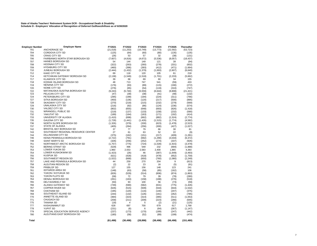# **State of Alaska Teachers' Retirement System DCR - Occupational Death & Disability Schedule D - Employers' Allocation of Recognition of Deferred Outflows/Inflows as of 6/30/2020**

| <b>Employer Number</b> | <b>Employer Name</b>               | FY2021           | FY2022         | FY2023    | FY2024    | FY2025           | <b>Thereafter</b>   |
|------------------------|------------------------------------|------------------|----------------|-----------|-----------|------------------|---------------------|
| 701                    | <b>ANCHORAGE SD</b>                | (21, 018)        | (11, 253)      | (10, 749) | (13, 773) | (22, 592)        | (53, 723)           |
| 704                    | CORDOVA CITY SD                    | (125)            | (64)           | (60)      | (80)      | (135)            | (135)               |
| 705                    | <b>CRAIG CITY SD</b>               | (26)             | 53             | 57        | 32        | (38)             | (131)               |
| 706                    | FAIRBANKS NORTH STAR BOROUGH SD    | (7,607)          | (4, 816)       | (4,672)   | (5,536)   | (8,057)          | (18, 437)           |
| 707                    | HAINES BOROUGH SD                  | 54               | 144            | 149       | 121       | 39               | (94)                |
| 708                    | <b>HOONAH CITY SD</b>              | (322)            | (263)          | (260)     | (278)     | (331)            | (602)               |
| 709                    | <b>HYDABURG CITY SD</b>            | (460)            | (396)          | (393)     | (412)     | (471)            | (1,664)             |
| 710                    | JUNEAU BOROUGH SD                  | (2, 444)         | (1, 432)       | (1, 379)  | (1,693)   | (2,607)          | (6, 640)            |
| 712                    | <b>KAKE CITY SD</b>                | 69               | 118            | 120       | 105       | 61               | 218                 |
| 714                    | KETCHIKAN GATEWAY BOROUGH SD       | (2, 138)         | (1, 549)       | (1, 518)  | (1,701)   | (2, 233)         | (5,662)             |
| 717                    | <b>KLAWOCK CITY SD</b>             | 39               | 68             | 69        | 60        | 34               | 155                 |
| 718                    | KODIAK ISLAND BOROUGH SD           | 48               | 713            | 747       | 541       |                  | 433                 |
|                        | <b>NENANA CITY SD</b>              |                  |                |           |           | (59)             |                     |
| 719<br>720             | NOME CITY SD                       | (176)            | (93)           | (89)      | (115)     | (190)            | (272)               |
|                        |                                    | (276)            | (65)           | (54)      | (119)     | (310)            | (747)               |
| 722                    | MATANUSKA-SUSITNA BOROUGH SD       | (9, 243)         | (5,740)        | (5, 559)  | (6,644)   | (9,808)          | (21, 421)           |
| 723                    | PELICAN CITY SD                    | (47)             | (39)           | (38)      | (41)      | (48)             | (132)               |
| 724                    | PETERSBURG CITY SD                 | (295)            | (199)          | (194)     | (224)     | (311)            | (766)               |
| 727                    | <b>SITKA BOROUGH SD</b>            | (450)            | (136)          | (120)     | (217)     | (500)            | (895)               |
| 728                    | <b>SKAGWAY CITY SD</b>             | (270)            | (218)          | (215)     | (232)     | (279)            | (569)               |
| 729                    | UNALASKA CITY SD                   | (216)            | (92)           | (86)      | (124)     | (236)            | (574)               |
| 730                    | <b>VALDEZ CITY SD</b>              | (802)            | (655)          | (648)     | (693)     | (826)            | (1, 418)            |
| 731                    | <b>WRANGELL PUBLIC SD</b>          | (219)            | (137)          | (133)     | (158)     | (232)            | (590)               |
| 732                    | YAKUTAT SD                         | (189)            | (164)          | (163)     | (171)     | (192)            | (414)               |
| 733                    | UNIVERSITY OF ALASKA               | (1, 410)         | (698)          | (662)     | (882)     | (1,524)          | (2, 774)            |
| 735                    | <b>GALENA CITY SD</b>              | (1,728)          | (1, 441)       | (1, 426)  | (1, 515)  | (1,774)          | (4, 582)            |
| 736                    | NORTH SLOPE BOROUGH SD             | (1,326)          | (379)          | (330)     | (623)     | (1, 478)         | (2, 523)            |
| 737                    | STATE OF ALASKA                    | (405)            | (264)          | (256)     | (300)     | (427)            | (1,027)             |
| 742                    | <b>BRISTOL BAY BOROUGH SD</b>      | 37               | 77             | 79        | 66        | 30               | 81                  |
| 743                    | SOUTHEAST REGIONAL RESOURCE CENTER | 27               | 61             | 63        | 52        | 22               | (9)                 |
| 744                    | DILLINGHAM CITY SD                 | (375)            | (162)          | (151)     | (217)     | (409)            | (1, 281)            |
| 746                    | KENAI PENINSULA BOROUGH SD         | (2, 722)         | (791)          | (692)     | (1, 290)  | (3,034)          | (6, 372)            |
| 748                    | <b>SAINT MARY'S SD</b>             | (326)            | (256)          | (252)     | (274)     | (337)            | (926)               |
| 751                    | NORTHWEST ARCTIC BOROUGH SD        | (1,757)          | (775)          | (724)     | (1,028)   | (1, 915)         | (3, 479)            |
| 752                    | <b>BERING STRAIT SD</b>            | (529)            | 496            | 549       | 232       | (694)            | (1,888)             |
| 753                    | LOWER YUKON SD                     | 1,960            | 2,553          | 2,583     | 2,400     | 1,865            | 4,393               |
| 754                    | LOWER KUSKOKWIM SD                 | (1, 423)         | (26)           | 46        | (387)     | (1,649)          | (3, 493)            |
| 755                    | <b>KUSPUK SD</b>                   |                  | (428)          | (418)     | (478)     |                  |                     |
| 756                    | SOUTHWEST REGION SD                | (621)<br>(1,022) | (668)          |           | (760)     | (652)<br>(1,080) | (1,759)<br>(2, 249) |
|                        |                                    |                  |                | (650)     |           |                  |                     |
| 757                    | LAKE AND PENINSULA BOROUGH SD      | 44               | 259            | 270       | 204       | 9                | (813)               |
| 758                    | ALEUTIAN REGION SD                 | (2)              | 22             | 23        | 16        | (5)              | (91)                |
| 759                    | PRIBILOF SD                        | 127              | 155            | 156       | 148       | 123              | 241                 |
| 761                    | <b>IDITAROD AREA SD</b>            | (148)            | (63)           | (58)      | (85)      | (162)            | 106                 |
| 762                    | YUKON / KOYUKUK SD                 | (826)            | (529)          | (514)     | (606)     | (874)            | (1,863)             |
| 763                    | YUKON FLATS SD                     | (58)             | 72             | 79        | 39        | (78)             | (280)               |
| 764                    | DENALI BOROUGH SD                  | (261)            | (163)          | (158)     | (188)     | (276)            | (518)               |
| 765                    | DELTA/GREELY SD                    | (50)             | 93             | 100       | 56        | (73)             | (59)                |
| 766                    | ALASKA GATEWAY SD                  | (749)            | (590)          | (582)     | (631)     | (775)            | (1, 426)            |
| 767                    | <b>COPPER RIVER SD</b>             | (626)            | (515)          | (509)     | (544)     | (644)            | (1, 532)            |
| 768                    | <b>CHATHAM SD</b>                  | (195)            | (120)          | (116)     | (140)     | (207)            | (375)               |
| 769                    | SOUTHEAST ISLAND SD                | (244)            | (132)          | (126)     | (161)     | (262)            | (785)               |
| 770                    | ANNETTE ISLAND SD                  | (484)            | (323)          | (314)     | (365)     | (511)            | (1,053)             |
| 771                    | CHUGACH SD                         | (258)            | (211)          | (209)     | (223)     | (266)            | (645)               |
| 775                    | <b>TANANA SD</b>                   | (18)             | $\overline{4}$ | 5         | (2)       | (21)             | (125)               |
| 777                    | <b>KASHUNAMIUT SD</b>              | 628              | 697            | 700       | 679       | 617              | 1,768               |
| 778                    | YUPIIT SD                          | (231)            | (6)            | 6         | (64)      | (267)            | (1, 147)            |
| 779                    | SPECIAL EDUCATION SERVICE AGENCY   | (237)            | (173)          | (170)     | (189)     | (247)            | (442)               |
| 780                    | ALEUTIANS EAST BOROUGH SD          | (180)            | (58)           | (52)      | (89)      | (199)            | (474)               |
| Total                  |                                    | (61, 498)        | (30, 498)      | (28, 898) | (38, 498) | (66, 498)        | (151, 480)          |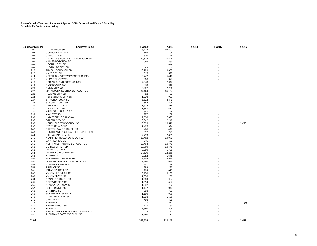| <b>Employer Number</b> | <b>Employer Name</b>               | FY2020  | FY2019  | FY2018 | FY2017 | FY2016 |
|------------------------|------------------------------------|---------|---------|--------|--------|--------|
| 701                    | ANCHORAGE SD                       | 103,478 | 96,597  |        |        |        |
| 704                    | CORDOVA CITY SD                    | 655     | 705     |        |        |        |
| 705                    | <b>CRAIG CITY SD</b>               | 830     | 775     |        |        |        |
| 706                    | FAIRBANKS NORTH STAR BOROUGH SD    | 29,578  | 27,525  |        |        |        |
| 707                    | <b>HAINES BOROUGH SD</b>           | 955     | 839     |        |        |        |
| 708                    | <b>HOONAH CITY SD</b>              | 617     | 629     |        |        |        |
| 709                    | <b>HYDABURG CITY SD</b>            | 683     | 203     |        |        |        |
| 710                    | JUNEAU BOROUGH SD                  |         |         |        |        |        |
|                        | <b>KAKE CITY SD</b>                | 10,729  | 9,657   |        |        |        |
| 712                    |                                    | 515     | 597     |        |        |        |
| 714                    | KETCHIKAN GATEWAY BOROUGH SD       | 6,242   | 5,419   |        |        |        |
| 717                    | <b>KLAWOCK CITY SD</b>             | 306     | 327     |        |        |        |
| 718                    | KODIAK ISLAND BOROUGH SD           | 7,048   | 7,047   |        |        |        |
| 719                    | <b>NENANA CITY SD</b>              | 878     | 912     |        |        |        |
| 720                    | NOME CITY SD                       | 2,237   | 2,206   |        |        |        |
| 722                    | MATANUSKA-SUSITNA BOROUGH SD       | 37,124  | 35,154  |        |        |        |
| 723                    | PELICAN CITY SD                    | 82      | 53      |        |        |        |
| 724                    | PETERSBURG CITY SD                 | 1,026   | 990     |        |        |        |
| 727                    | SITKA BOROUGH SD                   | 3,322   | 3,349   |        |        |        |
| 728                    | <b>SKAGWAY CITY SD</b>             | 552     | 505     |        |        |        |
| 729                    | UNALASKA CITY SD                   | 1,312   | 1,315   |        |        |        |
| 730                    | VALDEZ CITY SD                     | 1,557   | 1,612   |        |        |        |
| 731                    | <b>WRANGELL PUBLIC SD</b>          | 867     | 744     |        |        |        |
| 732                    | YAKUTAT SD                         | 257     | 208     |        |        |        |
| 733                    | UNIVERSITY OF ALASKA               | 7,538   | 7,695   |        |        |        |
| 735                    | <b>GALENA CITY SD</b>              | 3,042   | 2,249   |        |        |        |
| 736                    | NORTH SLOPE BOROUGH SD             | 10,033  | 10,516  |        |        | 1,458  |
| 737                    | STATE OF ALASKA                    | 1,495   | 1,394   |        |        |        |
|                        |                                    |         |         |        |        |        |
| 742                    | BRISTOL BAY BOROUGH SD             | 420     | 496     |        |        |        |
| 743                    | SOUTHEAST REGIONAL RESOURCE CENTER | 357     | 295     |        |        |        |
| 744                    | DILLINGHAM CITY SD                 | 2,259   | 2,051   |        |        |        |
| 746                    | KENAI PENINSULA BOROUGH SD         | 20,462  | 19,979  |        |        |        |
| 748                    | <b>SAINT MARY'S SD</b>             | 745     | 571     |        |        |        |
| 751                    | NORTHWEST ARCTIC BOROUGH SD        | 10,404  | 10,740  |        |        |        |
| 752                    | <b>BERING STRAIT SD</b>            | 10,860  | 10,445  |        |        |        |
| 753                    | LOWER YUKON SD                     | 6,280   | 6,768   |        |        |        |
| 754                    | LOWER KUSKOKWIM SD                 | 14,810  | 14,286  |        |        |        |
| 755                    | <b>KUSPUK SD</b>                   | 2,052   | 1,675   |        |        |        |
| 756                    | SOUTHWEST REGION SD                | 3,754   | 3,596   |        |        |        |
| 757                    | LAKE AND PENINSULA BOROUGH SD      | 2,280   | 1,684   |        |        |        |
| 758                    | ALEUTIAN REGION SD                 | 251     | 189     |        |        |        |
| 759                    | PRIBILOF SD                        | 289     | 283     |        |        |        |
| 761                    | <b>IDITAROD AREA SD</b>            | 904     | 1,070   |        |        |        |
| 762                    | YUKON / KOYUKUK SD                 | 3,150   | 3,167   |        |        |        |
| 763                    | YUKON FLATS SD                     | 1,376   | 1,258   |        |        |        |
| 764                    | DENALI BOROUGH SD                  | 1,030   | 984     |        |        |        |
| 765                    | <b>DELTA/GREELY SD</b>             | 1,514   | 1,587   |        |        |        |
|                        | ALASKA GATEWAY SD                  |         |         |        |        |        |
| 766                    | <b>COPPER RIVER SD</b>             | 1,692   | 1,752   |        |        |        |
| 767                    |                                    | 1,177   | 1,049   |        |        |        |
| 768                    | <b>CHATHAM SD</b>                  | 793     | 791     |        |        |        |
| 769                    | SOUTHEAST ISLAND SD                | 1,190   | 976     |        |        |        |
| 770                    | ANNETTE ISLAND SD                  | 1,713   | 1,656   |        |        |        |
| 771                    | CHUGACH SD                         | 498     | 425     |        |        |        |
| 775                    | <b>TANANA SD</b>                   | 227     | 211     |        |        | (5)    |
| 777                    | <b>KASHUNAMIUT SD</b>              | 732     | 1,183   |        |        |        |
| 778                    | YUPIIT SD                          | 2,390   | 1,868   |        |        |        |
| 779                    | SPECIAL EDUCATION SERVICE AGENCY   | 673     | 722     |        |        |        |
| 780                    | ALEUTIANS EAST BOROUGH SD          | 1,290   | 1,170   |        |        |        |
|                        |                                    |         |         |        |        |        |
| <b>Total</b>           |                                    | 328,528 | 312,145 |        |        | 1,453  |